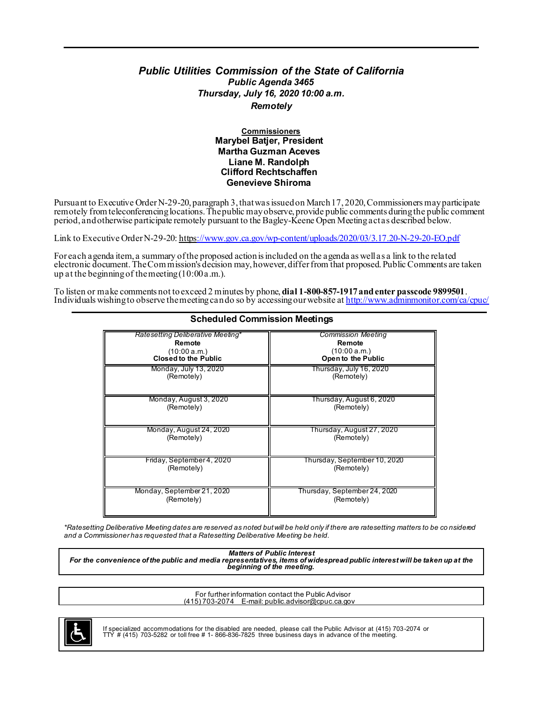#### *Public Utilities Commission of the State of California Public Agenda 3465 Thursday, July 16, 2020 10:00 a.m. Remotely*

#### **Commissioners Marybel Batjer, President Martha Guzman Aceves Liane M. Randolph Clifford Rechtschaffen Genevieve Shiroma**

Pursuant to Executive Order N-29-20, paragraph 3, that was issued on March 17, 2020, Commissioners may participate remotely from teleconferencing locations. The public may observe, provide public comments during the public comment period, and otherwise participate remotely pursuant to the Bagley-Keene Open Meeting act as described below.

Link to Executive Order N-29-20: htt[ps://www.gov.ca.gov/wp-content/uploads/2020/03/3.17.20-N-29-20-EO.pdf](http://www.gov.ca.gov/wp-content/uploads/2020/03/3.17.20-N-29-20-EO.pdf)

For each agenda item, a summary of the proposed action is included on the agenda as well as a link to the related electronic document. The Com mission's decision may, however, differ from that proposed. Public Comments are taken up at the beginning of the meeting (10:00 a.m.).

To listen or make comments not to exceed 2 minutes by phone, **dial 1-800-857-1917 and enter passcode 9899501**. Individuals wishing to observe the meeting can do so by accessing our website at <u>http://www.adminmonitor.com/ca/cpuc/</u>

| <u>Scheduled Commission Meetings</u> |                              |
|--------------------------------------|------------------------------|
| Ratesetting Deliberative Meeting*    | <b>Commission Meeting</b>    |
| Remote                               | Remote                       |
| (10:00 a.m.)                         | (10:00 a.m.)                 |
| <b>Closed to the Public</b>          | Open to the Public           |
| Monday, July 13, 2020                | Thursday, July 16, 2020      |
| (Remotely)                           | (Remotely)                   |
| Monday, August 3, 2020               | Thursday, August 6, 2020     |
| (Remotely)                           | (Remotely)                   |
| Monday, August 24, 2020              | Thursday, August 27, 2020    |
| (Remotely)                           | (Remotely)                   |
| Friday, September 4, 2020            | Thursday, September 10, 2020 |
| (Remotely)                           | (Remotely)                   |
| Monday, September 21, 2020           | Thursday, September 24, 2020 |
| (Remotely)                           | (Remotely)                   |

# **Scheduled Commission Meetings**

*\*Ratesetting Deliberative Meeting dates are reserved as noted but will be held only if there are ratesetting matters to be co nsidered and a Commissioner has requested that a Ratesetting Deliberative Meeting be held.*

*Matters of Public Interest For the convenience of the public and media representatives, items of widespread public interest will be taken up at the beginning of the meeting. .*

> For further information contact the Public Advisor (415) 703-2074 [E-mail: public.advisor@cpuc.ca.gov](mailto:public.advisor@cpuc.ca.gov)



If specialized accommodations for the disabled are needed, please call the Public Advisor at (415) 703-2074 or  $TTY$  # (415) 703-5282 or toll free # 1- 866-836-7825 three business days in advance of the meeting.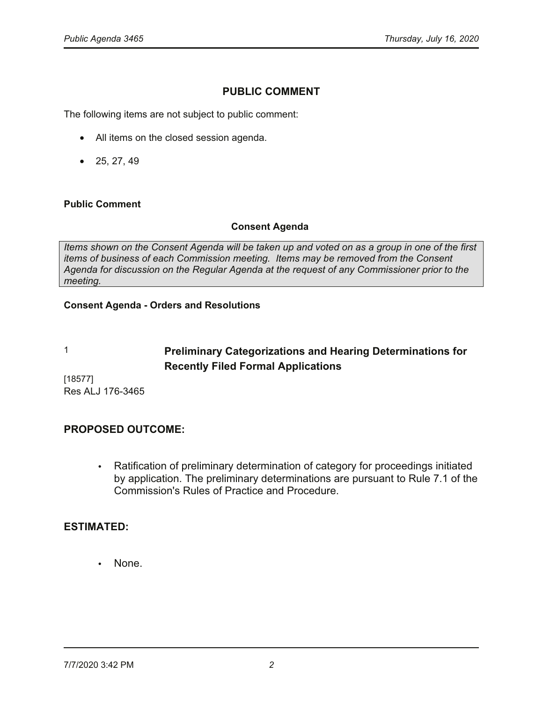# **PUBLIC COMMENT**

The following items are not subject to public comment:

- All items on the closed session agenda.
- $25, 27, 49$

#### **Public Comment**

### **Consent Agenda**

Items shown on the Consent Agenda will be taken up and voted on as a group in one of the first *items of business of each Commission meeting.* Items may be removed from the Consent Agenda for discussion on the Regular Agenda at the request of any Commissioner prior to the *meeting.* 

#### **Consent Agenda - Orders and Resolutions**

# **1 3UHOLPLACE Preliminary Categorizations and Hearing Determinations for Recently Filed Formal Applications**

 $[18577]$ Res ALJ 176-3465

# **PROPOSED OUTCOME:**

• Ratification of preliminary determination of category for proceedings initiated by application. The preliminary determinations are pursuant to Rule 7.1 of the Commission's Rules of Practice and Procedure.

# **ESTIMATED:**

None.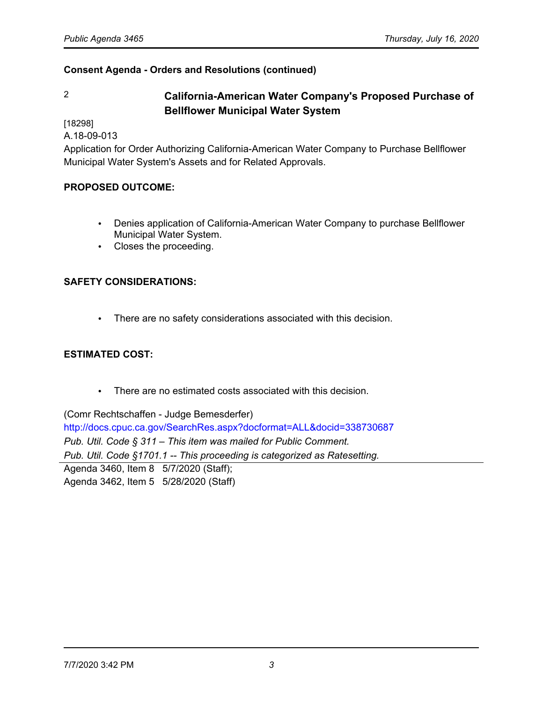# 2 **California-American Water Company's Proposed Purchase of Bellflower Municipal Water System**

[18298]

A.18-09-013

Application for Order Authorizing California-American Water Company to Purchase Bellflower Municipal Water System's Assets and for Related Approvals.

# **PROPOSED OUTCOME:**

- Denies application of California-American Water Company to purchase Bellflower Municipal Water System.
- Closes the proceeding.

# **SAFETY CONSIDERATIONS:**

• There are no safety considerations associated with this decision.

# **ESTIMATED COST:**

• There are no estimated costs associated with this decision.

(Comr Rechtschaffen - Judge Bemesderfer)

<http://docs.cpuc.ca.gov/SearchRes.aspx?docformat=ALL&docid=338730687> *Pub. Util. Code § 311* – *This item was mailed for Public Comment. Pub. Util. Code §1701.1 -- This proceeding is categorized as Ratesetting.* Agenda 3460, Item 8 5/7/2020 (Staff);

Agenda 3462, Item 5 5/28/2020 (Staff)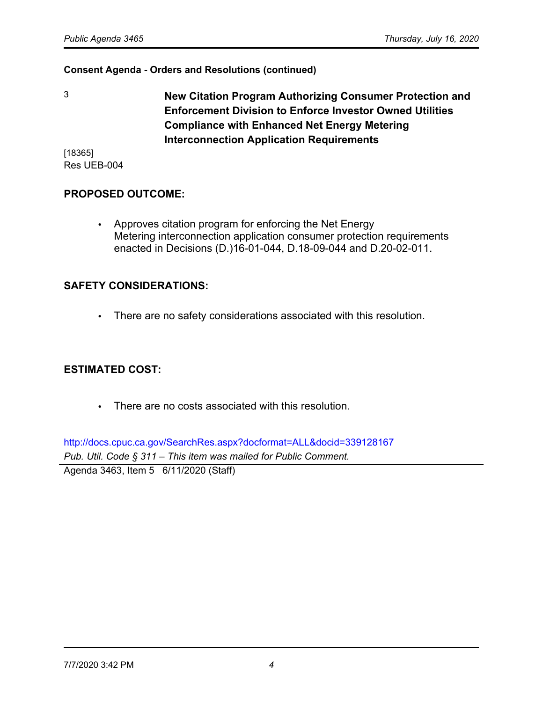3 **New Citation Program Authorizing Consumer Protection and Enforcement Division to Enforce Investor Owned Utilities Compliance with Enhanced Net Energy Metering Interconnection Application Requirements**

[18365] Res UEB-004

# **PROPOSED OUTCOME:**

• Approves citation program for enforcing the Net Energy Metering interconnection application consumer protection requirements enacted in Decisions (D.)16-01-044, D.18-09-044 and D.20-02-011.

# **SAFETY CONSIDERATIONS:**

• There are no safety considerations associated with this resolution.

# **ESTIMATED COST:**

• There are no costs associated with this resolution.

<http://docs.cpuc.ca.gov/SearchRes.aspx?docformat=ALL&docid=339128167> *Pub. Util. Code § 311* – *This item was mailed for Public Comment.* Agenda 3463, Item 5 6/11/2020 (Staff)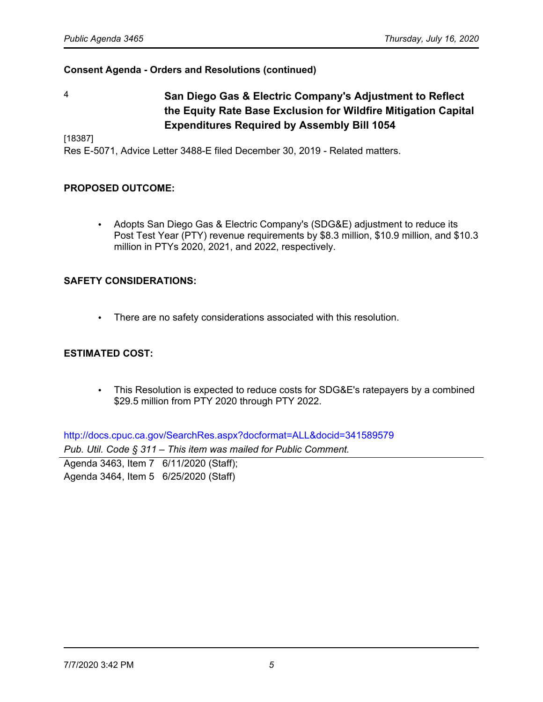4 **San Diego Gas & Electric Company's Adjustment to Reflect the Equity Rate Base Exclusion for Wildfire Mitigation Capital Expenditures Required by Assembly Bill 1054**

[18387]

Res E-5071, Advice Letter 3488-E filed December 30, 2019 - Related matters.

#### **PROPOSED OUTCOME:**

• Adopts San Diego Gas & Electric Company's (SDG&E) adjustment to reduce its Post Test Year (PTY) revenue requirements by \$8.3 million, \$10.9 million, and \$10.3 million in PTYs 2020, 2021, and 2022, respectively.

#### **SAFETY CONSIDERATIONS:**

• There are no safety considerations associated with this resolution.

#### **ESTIMATED COST:**

• This Resolution is expected to reduce costs for SDG&E's ratepayers by a combined \$29.5 million from PTY 2020 through PTY 2022.

<http://docs.cpuc.ca.gov/SearchRes.aspx?docformat=ALL&docid=341589579> *Pub. Util. Code § 311* – *This item was mailed for Public Comment.*

Agenda 3463, Item 7 6/11/2020 (Staff); Agenda 3464, Item 5 6/25/2020 (Staff)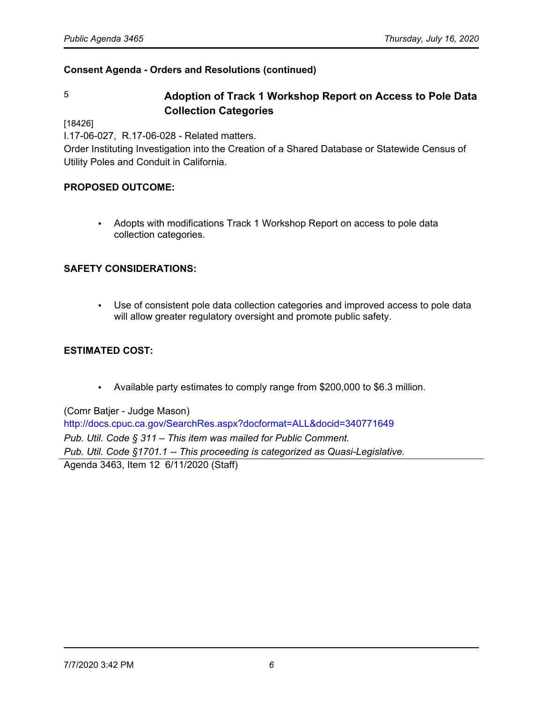# 5 **Adoption of Track 1 Workshop Report on Access to Pole Data Collection Categories**

[18426]

I.17-06-027, R.17-06-028 - Related matters.

Order Instituting Investigation into the Creation of a Shared Database or Statewide Census of Utility Poles and Conduit in California.

### **PROPOSED OUTCOME:**

• Adopts with modifications Track 1 Workshop Report on access to pole data collection categories.

#### **SAFETY CONSIDERATIONS:**

• Use of consistent pole data collection categories and improved access to pole data will allow greater regulatory oversight and promote public safety.

## **ESTIMATED COST:**

• Available party estimates to comply range from \$200,000 to \$6.3 million.

(Comr Batjer - Judge Mason) <http://docs.cpuc.ca.gov/SearchRes.aspx?docformat=ALL&docid=340771649> *Pub. Util. Code § 311* – *This item was mailed for Public Comment. Pub. Util. Code §1701.1 -- This proceeding is categorized as Quasi-Legislative.* Agenda 3463, Item 12 6/11/2020 (Staff)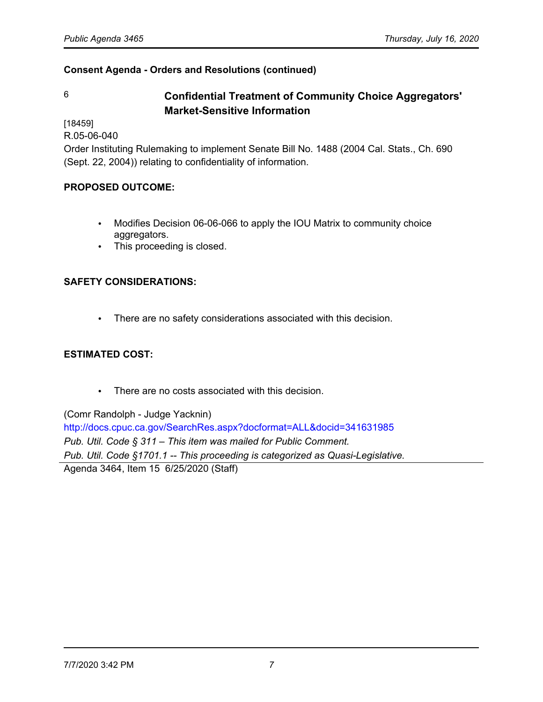# 6 **Confidential Treatment of Community Choice Aggregators' Market-Sensitive Information**

[18459]

R.05-06-040

Order Instituting Rulemaking to implement Senate Bill No. 1488 (2004 Cal. Stats., Ch. 690 (Sept. 22, 2004)) relating to confidentiality of information.

# **PROPOSED OUTCOME:**

- Modifies Decision 06-06-066 to apply the IOU Matrix to community choice aggregators.
- This proceeding is closed.

# **SAFETY CONSIDERATIONS:**

• There are no safety considerations associated with this decision.

# **ESTIMATED COST:**

• There are no costs associated with this decision.

(Comr Randolph - Judge Yacknin)

<http://docs.cpuc.ca.gov/SearchRes.aspx?docformat=ALL&docid=341631985> *Pub. Util. Code § 311* – *This item was mailed for Public Comment. Pub. Util. Code §1701.1 -- This proceeding is categorized as Quasi-Legislative.* Agenda 3464, Item 15 6/25/2020 (Staff)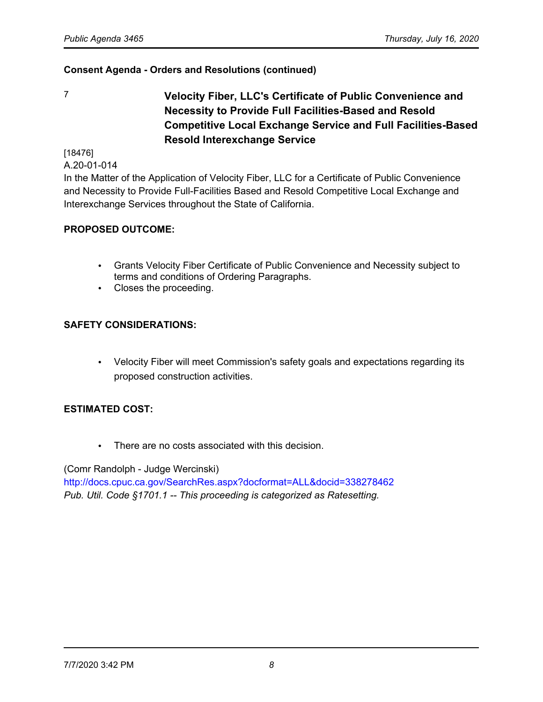7 **Velocity Fiber, LLC's Certificate of Public Convenience and Necessity to Provide Full Facilities-Based and Resold Competitive Local Exchange Service and Full Facilities-Based Resold Interexchange Service**

[18476] A.20-01-014

In the Matter of the Application of Velocity Fiber, LLC for a Certificate of Public Convenience and Necessity to Provide Full-Facilities Based and Resold Competitive Local Exchange and Interexchange Services throughout the State of California.

# **PROPOSED OUTCOME:**

- Grants Velocity Fiber Certificate of Public Convenience and Necessity subject to terms and conditions of Ordering Paragraphs.
- Closes the proceeding.

# **SAFETY CONSIDERATIONS:**

• Velocity Fiber will meet Commission's safety goals and expectations regarding its proposed construction activities.

# **ESTIMATED COST:**

• There are no costs associated with this decision.

(Comr Randolph - Judge Wercinski)

<http://docs.cpuc.ca.gov/SearchRes.aspx?docformat=ALL&docid=338278462> *Pub. Util. Code §1701.1 -- This proceeding is categorized as Ratesetting.*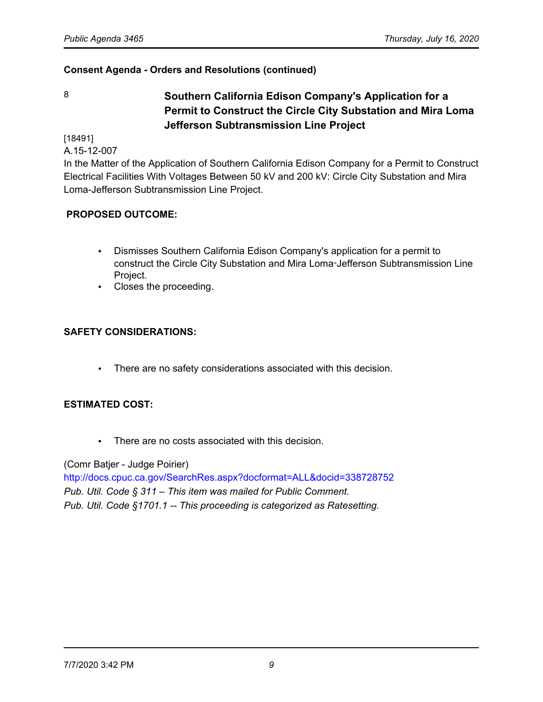8 **Southern California Edison Company's Application for a Permit to Construct the Circle City Substation and Mira Loma Jefferson Subtransmission Line Project**

[18491]

A.15-12-007

In the Matter of the Application of Southern California Edison Company for a Permit to Construct Electrical Facilities With Voltages Between 50 kV and 200 kV: Circle City Substation and Mira Loma-Jefferson Subtransmission Line Project.

# **PROPOSED OUTCOME:**

- Dismisses Southern California Edison Company's application for a permit to construct the Circle City Substation and Mira Loma‑Jefferson Subtransmission Line Project.
- Closes the proceeding.

# **SAFETY CONSIDERATIONS:**

• There are no safety considerations associated with this decision.

# **ESTIMATED COST:**

• There are no costs associated with this decision.

(Comr Batjer - Judge Poirier)

<http://docs.cpuc.ca.gov/SearchRes.aspx?docformat=ALL&docid=338728752> *Pub. Util. Code § 311* – *This item was mailed for Public Comment. Pub. Util. Code §1701.1 -- This proceeding is categorized as Ratesetting.*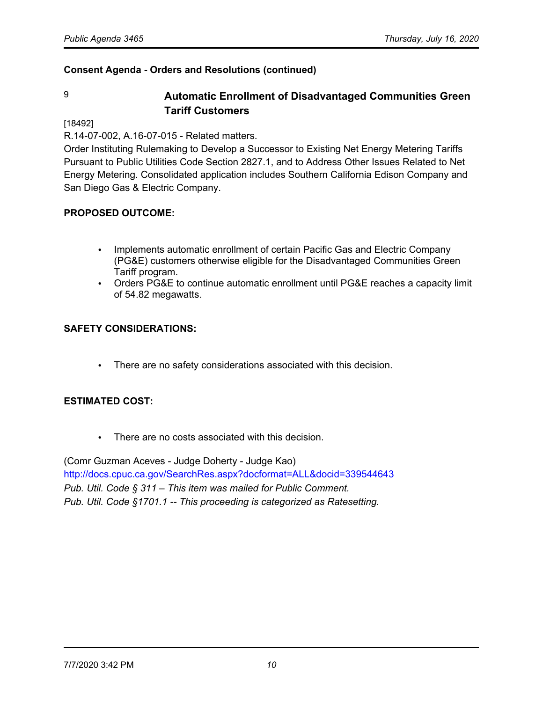# 9 **Automatic Enrollment of Disadvantaged Communities Green Tariff Customers**

#### [18492]

R.14-07-002, A.16-07-015 - Related matters.

Order Instituting Rulemaking to Develop a Successor to Existing Net Energy Metering Tariffs Pursuant to Public Utilities Code Section 2827.1, and to Address Other Issues Related to Net Energy Metering. Consolidated application includes Southern California Edison Company and San Diego Gas & Electric Company.

### **PROPOSED OUTCOME:**

- Implements automatic enrollment of certain Pacific Gas and Electric Company (PG&E) customers otherwise eligible for the Disadvantaged Communities Green Tariff program.
- Orders PG&E to continue automatic enrollment until PG&E reaches a capacity limit of 54.82 megawatts.

### **SAFETY CONSIDERATIONS:**

• There are no safety considerations associated with this decision.

#### **ESTIMATED COST:**

• There are no costs associated with this decision.

(Comr Guzman Aceves - Judge Doherty - Judge Kao) <http://docs.cpuc.ca.gov/SearchRes.aspx?docformat=ALL&docid=339544643> *Pub. Util. Code § 311* – *This item was mailed for Public Comment. Pub. Util. Code §1701.1 -- This proceeding is categorized as Ratesetting.*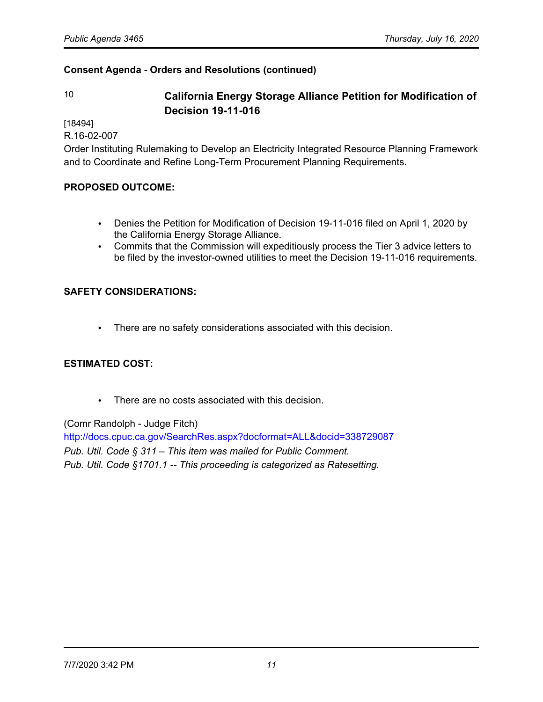# 10 **California Energy Storage Alliance Petition for Modification of Decision 19-11-016**

[18494]

R.16-02-007

Order Instituting Rulemaking to Develop an Electricity Integrated Resource Planning Framework and to Coordinate and Refine Long-Term Procurement Planning Requirements.

### **PROPOSED OUTCOME:**

- Denies the Petition for Modification of Decision 19-11-016 filed on April 1, 2020 by the California Energy Storage Alliance.
- Commits that the Commission will expeditiously process the Tier 3 advice letters to be filed by the investor-owned utilities to meet the Decision 19-11-016 requirements.

### **SAFETY CONSIDERATIONS:**

• There are no safety considerations associated with this decision.

# **ESTIMATED COST:**

• There are no costs associated with this decision.

(Comr Randolph - Judge Fitch)

<http://docs.cpuc.ca.gov/SearchRes.aspx?docformat=ALL&docid=338729087> *Pub. Util. Code § 311* – *This item was mailed for Public Comment. Pub. Util. Code §1701.1 -- This proceeding is categorized as Ratesetting.*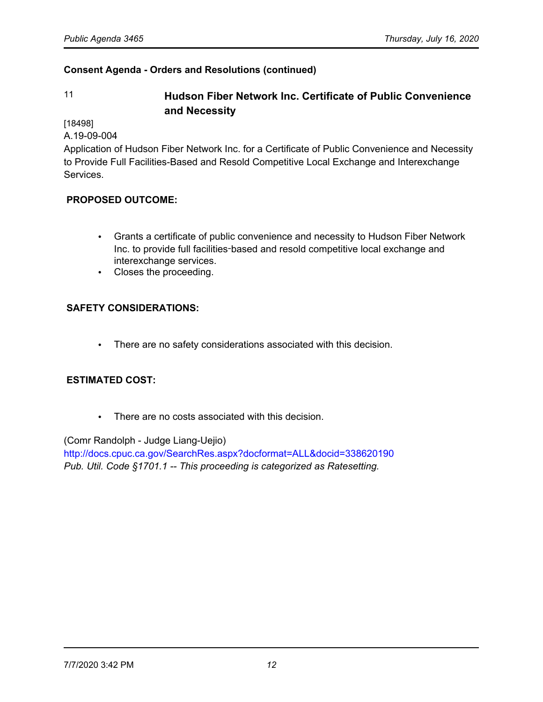# 11 **Hudson Fiber Network Inc. Certificate of Public Convenience and Necessity**

[18498]

A.19-09-004

Application of Hudson Fiber Network Inc. for a Certificate of Public Convenience and Necessity to Provide Full Facilities-Based and Resold Competitive Local Exchange and Interexchange Services.

# **PROPOSED OUTCOME:**

- Grants a certificate of public convenience and necessity to Hudson Fiber Network Inc. to provide full facilities-based and resold competitive local exchange and interexchange services.
- Closes the proceeding.

# **SAFETY CONSIDERATIONS:**

• There are no safety considerations associated with this decision.

#### **ESTIMATED COST:**

• There are no costs associated with this decision.

(Comr Randolph - Judge Liang-Uejio)

<http://docs.cpuc.ca.gov/SearchRes.aspx?docformat=ALL&docid=338620190> *Pub. Util. Code §1701.1 -- This proceeding is categorized as Ratesetting.*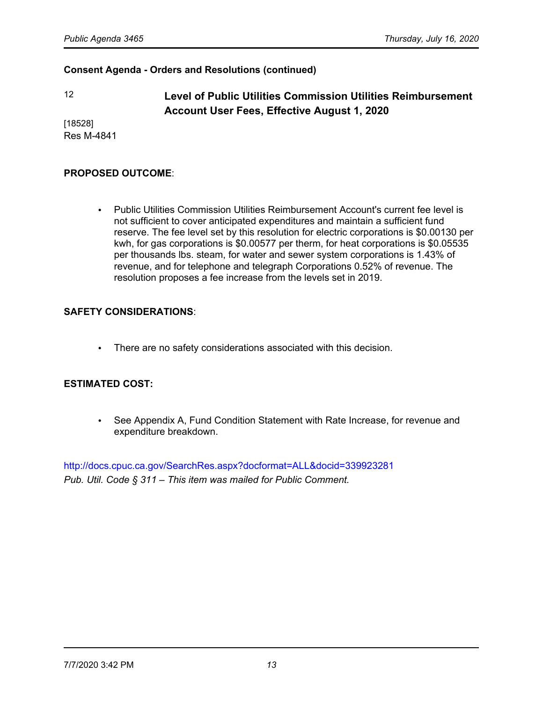12 **Level of Public Utilities Commission Utilities Reimbursement Account User Fees, Effective August 1, 2020**

[18528] Res M-4841

#### **PROPOSED OUTCOME**:

• Public Utilities Commission Utilities Reimbursement Account's current fee level is not sufficient to cover anticipated expenditures and maintain a sufficient fund reserve. The fee level set by this resolution for electric corporations is \$0.00130 per kwh, for gas corporations is \$0.00577 per therm, for heat corporations is \$0.05535 per thousands lbs. steam, for water and sewer system corporations is 1.43% of revenue, and for telephone and telegraph Corporations 0.52% of revenue. The resolution proposes a fee increase from the levels set in 2019.

### **SAFETY CONSIDERATIONS**:

• There are no safety considerations associated with this decision.

#### **ESTIMATED COST:**

• See Appendix A, Fund Condition Statement with Rate Increase, for revenue and expenditure breakdown.

<http://docs.cpuc.ca.gov/SearchRes.aspx?docformat=ALL&docid=339923281> *Pub. Util. Code § 311* – *This item was mailed for Public Comment.*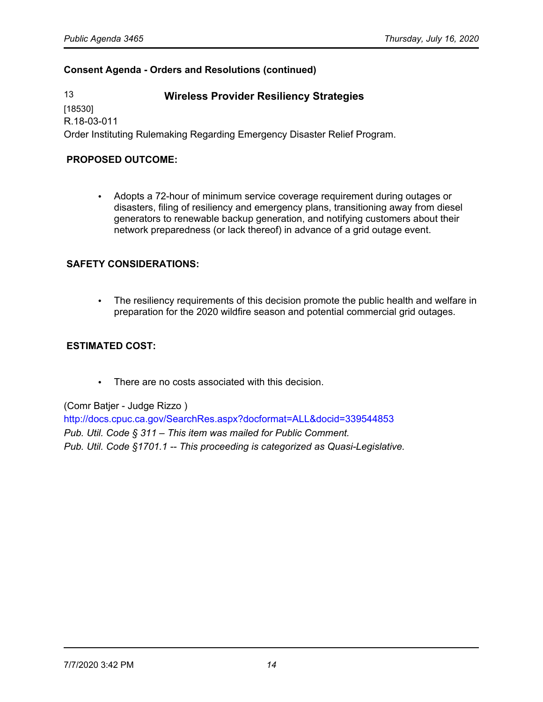13 **Wireless Provider Resiliency Strategies**

[18530] R.18-03-011

Order Instituting Rulemaking Regarding Emergency Disaster Relief Program.

## **PROPOSED OUTCOME:**

• Adopts a 72-hour of minimum service coverage requirement during outages or disasters, filing of resiliency and emergency plans, transitioning away from diesel generators to renewable backup generation, and notifying customers about their network preparedness (or lack thereof) in advance of a grid outage event.

### **SAFETY CONSIDERATIONS:**

• The resiliency requirements of this decision promote the public health and welfare in preparation for the 2020 wildfire season and potential commercial grid outages.

## **ESTIMATED COST:**

• There are no costs associated with this decision.

(Comr Batjer - Judge Rizzo )

<http://docs.cpuc.ca.gov/SearchRes.aspx?docformat=ALL&docid=339544853> *Pub. Util. Code § 311* – *This item was mailed for Public Comment. Pub. Util. Code §1701.1 -- This proceeding is categorized as Quasi-Legislative.*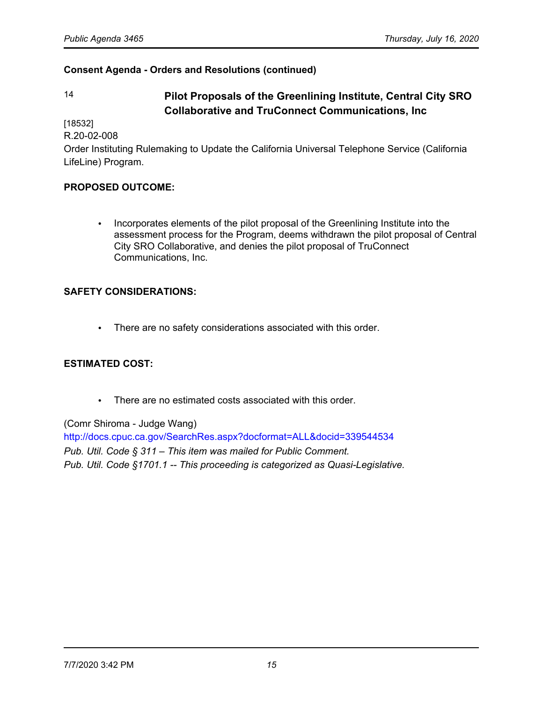# 14 **Pilot Proposals of the Greenlining Institute, Central City SRO Collaborative and TruConnect Communications, Inc**

[18532]

R.20-02-008

Order Instituting Rulemaking to Update the California Universal Telephone Service (California LifeLine) Program.

# **PROPOSED OUTCOME:**

• Incorporates elements of the pilot proposal of the Greenlining Institute into the assessment process for the Program, deems withdrawn the pilot proposal of Central City SRO Collaborative, and denies the pilot proposal of TruConnect Communications, Inc.

# **SAFETY CONSIDERATIONS:**

• There are no safety considerations associated with this order.

# **ESTIMATED COST:**

• There are no estimated costs associated with this order.

(Comr Shiroma - Judge Wang) <http://docs.cpuc.ca.gov/SearchRes.aspx?docformat=ALL&docid=339544534> *Pub. Util. Code § 311* – *This item was mailed for Public Comment. Pub. Util. Code §1701.1 -- This proceeding is categorized as Quasi-Legislative.*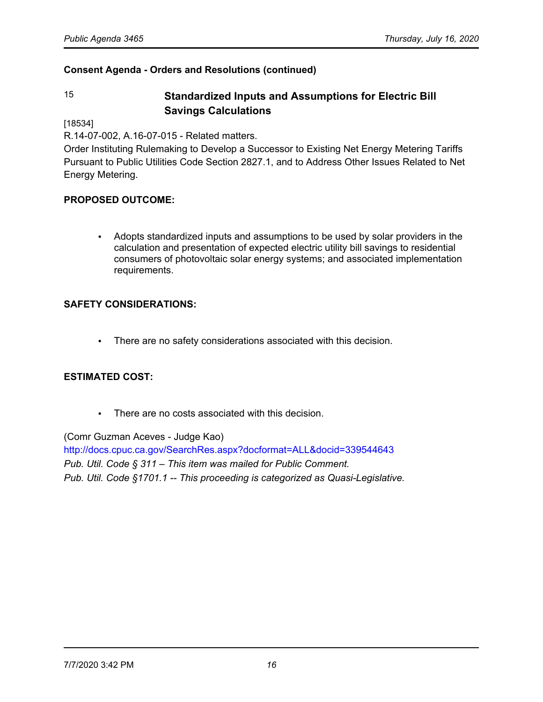# 15 **Standardized Inputs and Assumptions for Electric Bill Savings Calculations**

[18534]

R.14-07-002, A.16-07-015 - Related matters.

Order Instituting Rulemaking to Develop a Successor to Existing Net Energy Metering Tariffs Pursuant to Public Utilities Code Section 2827.1, and to Address Other Issues Related to Net Energy Metering.

### **PROPOSED OUTCOME:**

• Adopts standardized inputs and assumptions to be used by solar providers in the calculation and presentation of expected electric utility bill savings to residential consumers of photovoltaic solar energy systems; and associated implementation requirements.

### **SAFETY CONSIDERATIONS:**

• There are no safety considerations associated with this decision.

# **ESTIMATED COST:**

There are no costs associated with this decision.

(Comr Guzman Aceves - Judge Kao) <http://docs.cpuc.ca.gov/SearchRes.aspx?docformat=ALL&docid=339544643> *Pub. Util. Code § 311* – *This item was mailed for Public Comment. Pub. Util. Code §1701.1 -- This proceeding is categorized as Quasi-Legislative.*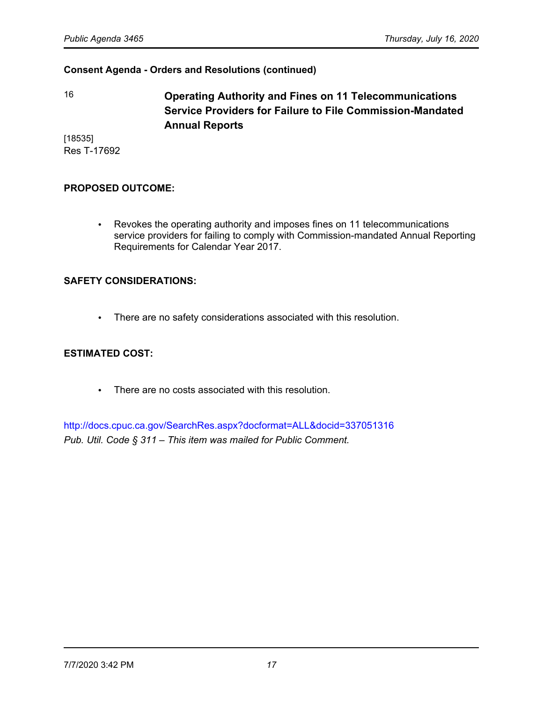16 **Operating Authority and Fines on 11 Telecommunications Service Providers for Failure to File Commission-Mandated Annual Reports**

[18535] Res T-17692

#### **PROPOSED OUTCOME:**

• Revokes the operating authority and imposes fines on 11 telecommunications service providers for failing to comply with Commission-mandated Annual Reporting Requirements for Calendar Year 2017.

#### **SAFETY CONSIDERATIONS:**

• There are no safety considerations associated with this resolution.

#### **ESTIMATED COST:**

• There are no costs associated with this resolution.

<http://docs.cpuc.ca.gov/SearchRes.aspx?docformat=ALL&docid=337051316> *Pub. Util. Code § 311* – *This item was mailed for Public Comment.*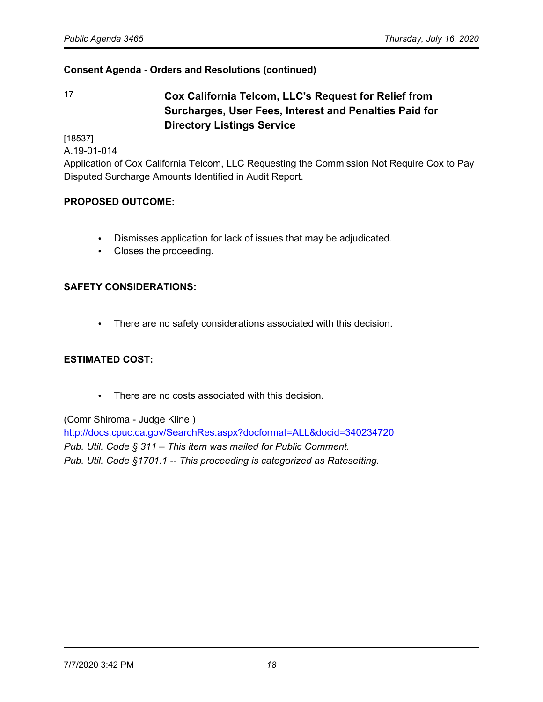17 **Cox California Telcom, LLC's Request for Relief from Surcharges, User Fees, Interest and Penalties Paid for Directory Listings Service**

[18537]

A.19-01-014

Application of Cox California Telcom, LLC Requesting the Commission Not Require Cox to Pay Disputed Surcharge Amounts Identified in Audit Report.

### **PROPOSED OUTCOME:**

- Dismisses application for lack of issues that may be adjudicated.
- Closes the proceeding.

### **SAFETY CONSIDERATIONS:**

• There are no safety considerations associated with this decision.

#### **ESTIMATED COST:**

• There are no costs associated with this decision.

#### (Comr Shiroma - Judge Kline )

<http://docs.cpuc.ca.gov/SearchRes.aspx?docformat=ALL&docid=340234720> *Pub. Util. Code § 311* – *This item was mailed for Public Comment. Pub. Util. Code §1701.1 -- This proceeding is categorized as Ratesetting.*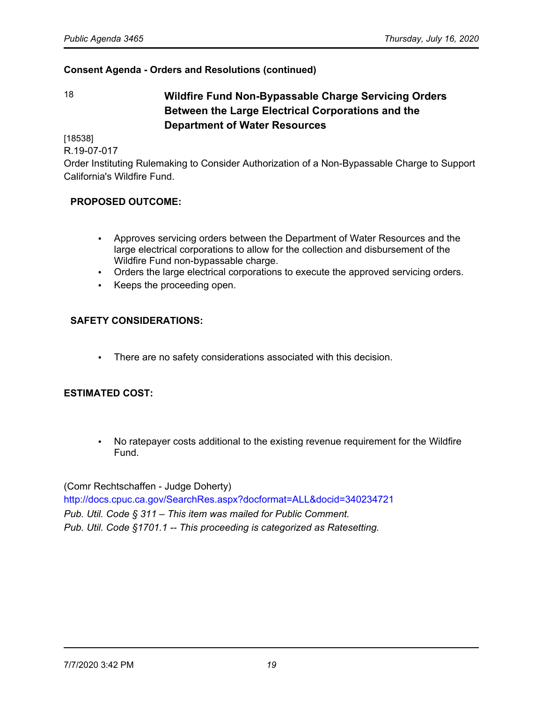18 **Wildfire Fund Non-Bypassable Charge Servicing Orders Between the Large Electrical Corporations and the Department of Water Resources**

[18538]

R.19-07-017

Order Instituting Rulemaking to Consider Authorization of a Non-Bypassable Charge to Support California's Wildfire Fund.

# **PROPOSED OUTCOME:**

- Approves servicing orders between the Department of Water Resources and the large electrical corporations to allow for the collection and disbursement of the Wildfire Fund non-bypassable charge.
- Orders the large electrical corporations to execute the approved servicing orders.
- Keeps the proceeding open.

# **SAFETY CONSIDERATIONS:**

There are no safety considerations associated with this decision.

# **ESTIMATED COST:**

• No ratepayer costs additional to the existing revenue requirement for the Wildfire Fund.

(Comr Rechtschaffen - Judge Doherty)

<http://docs.cpuc.ca.gov/SearchRes.aspx?docformat=ALL&docid=340234721> *Pub. Util. Code § 311* – *This item was mailed for Public Comment. Pub. Util. Code §1701.1 -- This proceeding is categorized as Ratesetting.*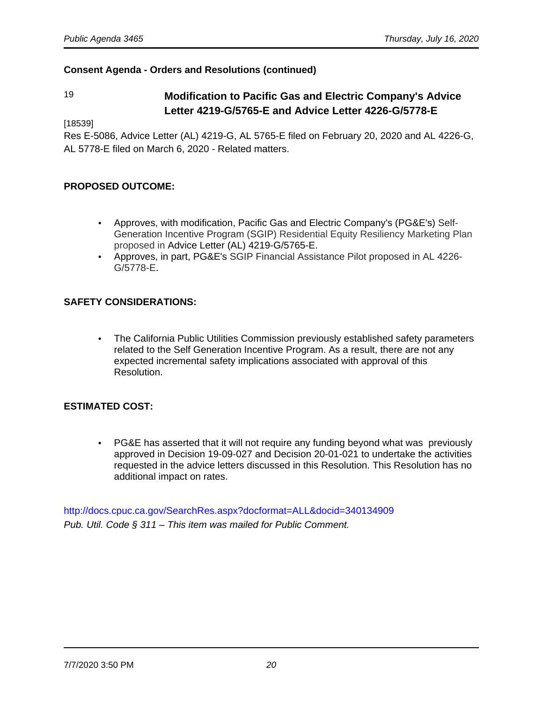# 19 **Modification to Pacific Gas and Electric Company's Advice Letter 4219-G/5765-E and Advice Letter 4226-G/5778-E**

[18539]

Res E-5086, Advice Letter (AL) 4219-G, AL 5765-E filed on February 20, 2020 and AL 4226-G, AL 5778-E filed on March 6, 2020 - Related matters.

#### **PROPOSED OUTCOME:**

- Approves, with modification, Pacific Gas and Electric Company's (PG&E's) Self-Generation Incentive Program (SGIP) Residential Equity Resiliency Marketing Plan proposed in Advice Letter (AL) 4219-G/5765-E.
- Approves, in part, PG&E's SGIP Financial Assistance Pilot proposed in AL 4226- G/5778-E.

### **SAFETY CONSIDERATIONS:**

• The California Public Utilities Commission previously established safety parameters related to the Self Generation Incentive Program. As a result, there are not any expected incremental safety implications associated with approval of this Resolution.

# **ESTIMATED COST:**

• PG&E has asserted that it will not require any funding beyond what was previously approved in Decision 19-09-027 and Decision 20-01-021 to undertake the activities requested in the advice letters discussed in this Resolution. This Resolution has no additional impact on rates.

<http://docs.cpuc.ca.gov/SearchRes.aspx?docformat=ALL&docid=340134909> Pub. Util. Code § 311 – This item was mailed for Public Comment.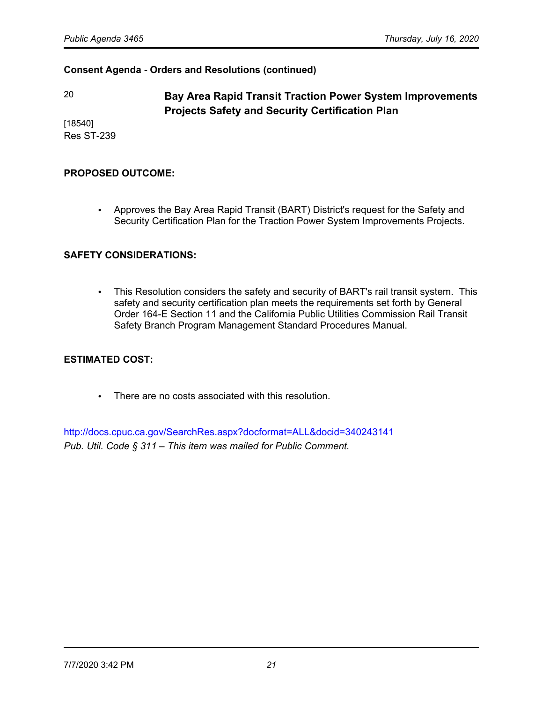20 **Bay Area Rapid Transit Traction Power System Improvements Projects Safety and Security Certification Plan**

[18540] Res ST-239

#### **PROPOSED OUTCOME:**

• Approves the Bay Area Rapid Transit (BART) District's request for the Safety and Security Certification Plan for the Traction Power System Improvements Projects.

#### **SAFETY CONSIDERATIONS:**

• This Resolution considers the safety and security of BART's rail transit system. This safety and security certification plan meets the requirements set forth by General Order 164-E Section 11 and the California Public Utilities Commission Rail Transit Safety Branch Program Management Standard Procedures Manual.

#### **ESTIMATED COST:**

• There are no costs associated with this resolution.

<http://docs.cpuc.ca.gov/SearchRes.aspx?docformat=ALL&docid=340243141> *Pub. Util. Code § 311* – *This item was mailed for Public Comment.*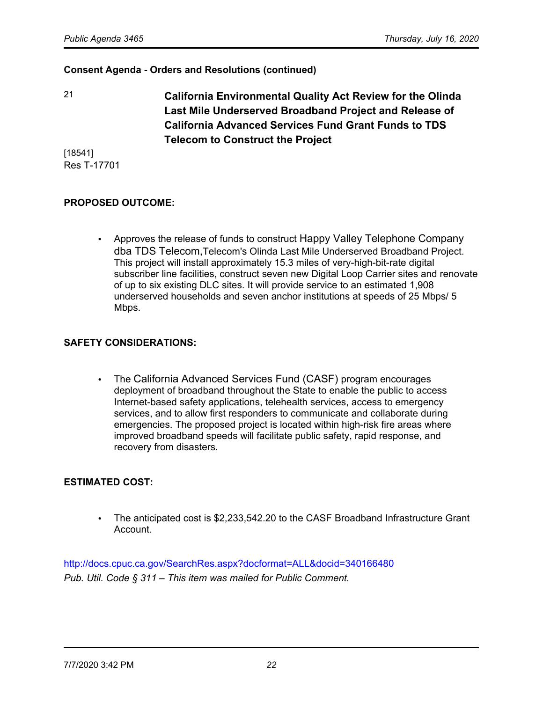21 **California Environmental Quality Act Review for the Olinda Last Mile Underserved Broadband Project and Release of California Advanced Services Fund Grant Funds to TDS Telecom to Construct the Project**

[18541] Res T-17701

### **PROPOSED OUTCOME:**

• Approves the release of funds to construct Happy Valley Telephone Company dba TDS Telecom,Telecom's Olinda Last Mile Underserved Broadband Project. This project will install approximately 15.3 miles of very-high-bit-rate digital subscriber line facilities, construct seven new Digital Loop Carrier sites and renovate of up to six existing DLC sites. It will provide service to an estimated 1,908 underserved households and seven anchor institutions at speeds of 25 Mbps/ 5 Mbps.

#### **SAFETY CONSIDERATIONS:**

• The California Advanced Services Fund (CASF) program encourages deployment of broadband throughout the State to enable the public to access Internet-based safety applications, telehealth services, access to emergency services, and to allow first responders to communicate and collaborate during emergencies. The proposed project is located within high-risk fire areas where improved broadband speeds will facilitate public safety, rapid response, and recovery from disasters.

#### **ESTIMATED COST:**

• The anticipated cost is \$2,233,542.20 to the CASF Broadband Infrastructure Grant Account.

<http://docs.cpuc.ca.gov/SearchRes.aspx?docformat=ALL&docid=340166480> *Pub. Util. Code § 311* – *This item was mailed for Public Comment.*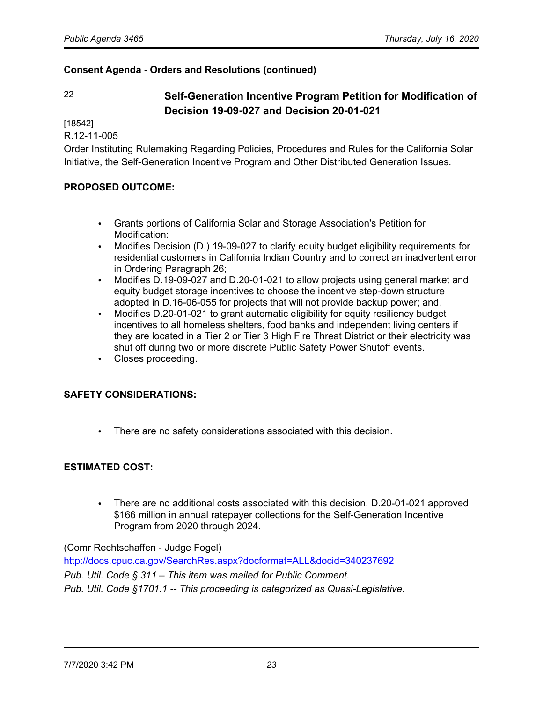# 22 **Self-Generation Incentive Program Petition for Modification of Decision 19-09-027 and Decision 20-01-021**

[18542]

R.12-11-005

Order Instituting Rulemaking Regarding Policies, Procedures and Rules for the California Solar Initiative, the Self-Generation Incentive Program and Other Distributed Generation Issues.

### **PROPOSED OUTCOME:**

- Grants portions of California Solar and Storage Association's Petition for Modification:
- Modifies Decision (D.) 19-09-027 to clarify equity budget eligibility requirements for residential customers in California Indian Country and to correct an inadvertent error in Ordering Paragraph 26;
- Modifies D.19-09-027 and D.20-01-021 to allow projects using general market and equity budget storage incentives to choose the incentive step-down structure adopted in D.16-06-055 for projects that will not provide backup power; and,
- Modifies D.20-01-021 to grant automatic eligibility for equity resiliency budget incentives to all homeless shelters, food banks and independent living centers if they are located in a Tier 2 or Tier 3 High Fire Threat District or their electricity was shut off during two or more discrete Public Safety Power Shutoff events.
- Closes proceeding.

#### **SAFETY CONSIDERATIONS:**

• There are no safety considerations associated with this decision.

#### **ESTIMATED COST:**

• There are no additional costs associated with this decision. D.20-01-021 approved \$166 million in annual ratepayer collections for the Self-Generation Incentive Program from 2020 through 2024.

#### (Comr Rechtschaffen - Judge Fogel)

<http://docs.cpuc.ca.gov/SearchRes.aspx?docformat=ALL&docid=340237692> *Pub. Util. Code § 311* – *This item was mailed for Public Comment. Pub. Util. Code §1701.1 -- This proceeding is categorized as Quasi-Legislative.*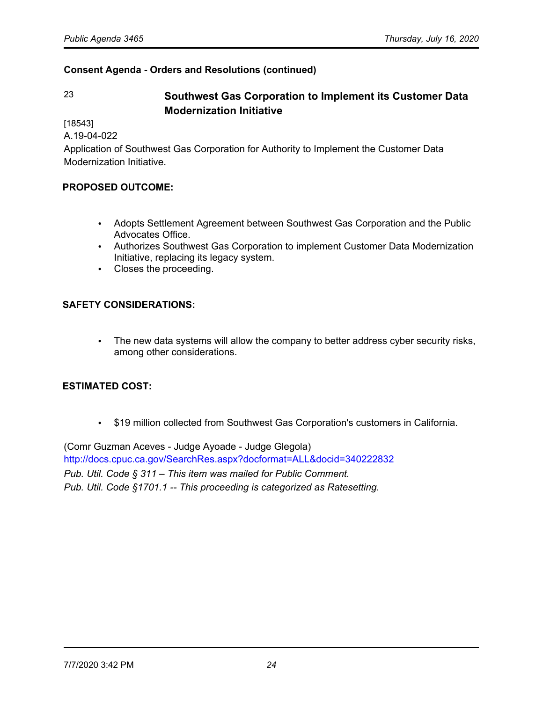# 23 **Southwest Gas Corporation to Implement its Customer Data Modernization Initiative**

[18543]

A.19-04-022

Application of Southwest Gas Corporation for Authority to Implement the Customer Data Modernization Initiative.

# **PROPOSED OUTCOME:**

- Adopts Settlement Agreement between Southwest Gas Corporation and the Public Advocates Office.
- Authorizes Southwest Gas Corporation to implement Customer Data Modernization Initiative, replacing its legacy system.
- Closes the proceeding.

#### **SAFETY CONSIDERATIONS:**

• The new data systems will allow the company to better address cyber security risks, among other considerations.

#### **ESTIMATED COST:**

• \$19 million collected from Southwest Gas Corporation's customers in California.

(Comr Guzman Aceves - Judge Ayoade - Judge Glegola) <http://docs.cpuc.ca.gov/SearchRes.aspx?docformat=ALL&docid=340222832> *Pub. Util. Code § 311* – *This item was mailed for Public Comment. Pub. Util. Code §1701.1 -- This proceeding is categorized as Ratesetting.*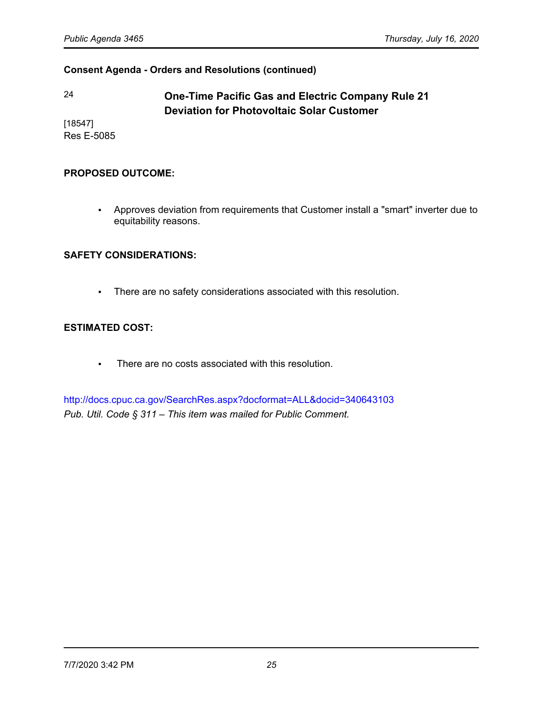# 24 **One-Time Pacific Gas and Electric Company Rule 21 Deviation for Photovoltaic Solar Customer**

[18547] Res E-5085

#### **PROPOSED OUTCOME:**

• Approves deviation from requirements that Customer install a "smart" inverter due to equitability reasons.

# **SAFETY CONSIDERATIONS:**

• There are no safety considerations associated with this resolution.

# **ESTIMATED COST:**

• There are no costs associated with this resolution.

<http://docs.cpuc.ca.gov/SearchRes.aspx?docformat=ALL&docid=340643103> *Pub. Util. Code § 311* – *This item was mailed for Public Comment.*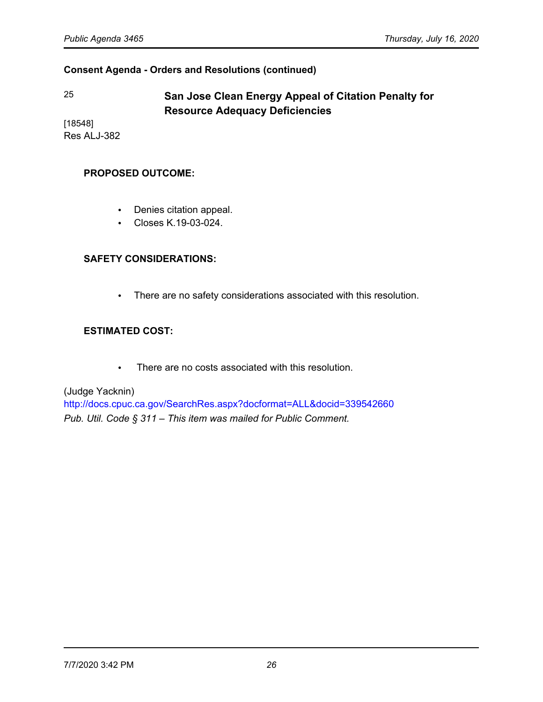# 25 **San Jose Clean Energy Appeal of Citation Penalty for Resource Adequacy Deficiencies**

[18548] Res ALJ-382

#### **PROPOSED OUTCOME:**

- Denies citation appeal.
- Closes K.19-03-024.

### **SAFETY CONSIDERATIONS:**

• There are no safety considerations associated with this resolution.

### **ESTIMATED COST:**

• There are no costs associated with this resolution.

(Judge Yacknin)

<http://docs.cpuc.ca.gov/SearchRes.aspx?docformat=ALL&docid=339542660> *Pub. Util. Code § 311* – *This item was mailed for Public Comment.*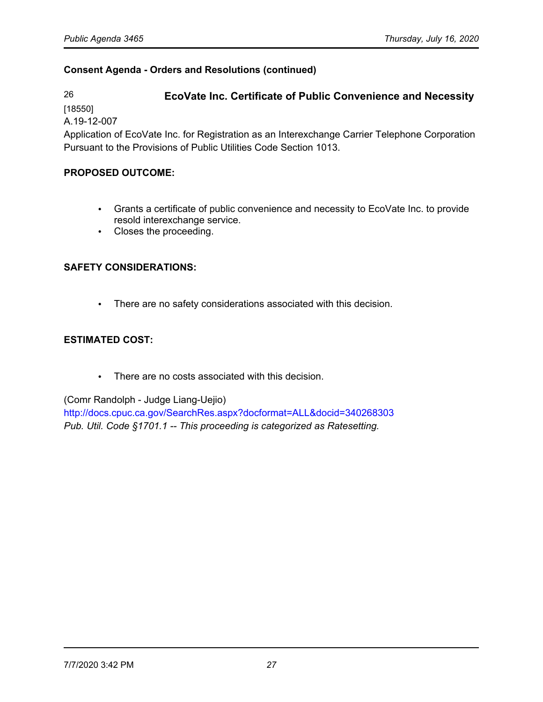# 26 **EcoVate Inc. Certificate of Public Convenience and Necessity**

[18550]

A.19-12-007

Application of EcoVate Inc. for Registration as an Interexchange Carrier Telephone Corporation Pursuant to the Provisions of Public Utilities Code Section 1013.

# **PROPOSED OUTCOME:**

- Grants a certificate of public convenience and necessity to EcoVate Inc. to provide resold interexchange service.
- Closes the proceeding.

# **SAFETY CONSIDERATIONS:**

• There are no safety considerations associated with this decision.

# **ESTIMATED COST:**

• There are no costs associated with this decision.

# (Comr Randolph - Judge Liang-Uejio)

<http://docs.cpuc.ca.gov/SearchRes.aspx?docformat=ALL&docid=340268303> *Pub. Util. Code §1701.1 -- This proceeding is categorized as Ratesetting.*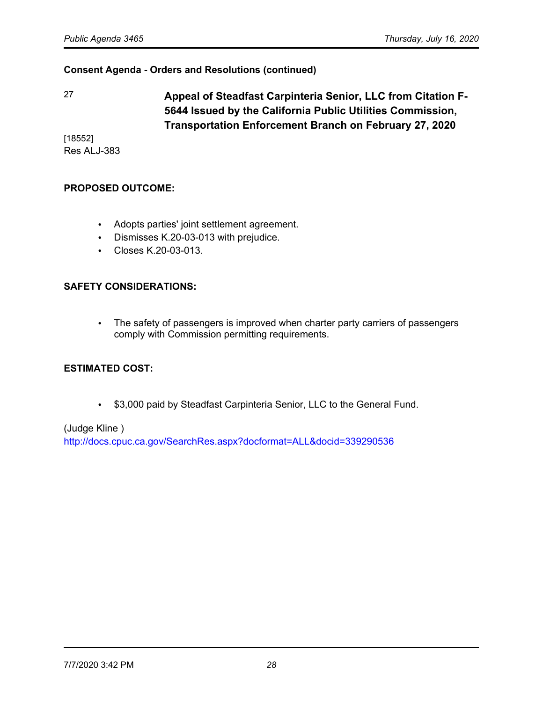27 **Appeal of Steadfast Carpinteria Senior, LLC from Citation F-5644 Issued by the California Public Utilities Commission, Transportation Enforcement Branch on February 27, 2020**

[18552] Res ALJ-383

#### **PROPOSED OUTCOME:**

- Adopts parties' joint settlement agreement.
- Dismisses K.20-03-013 with prejudice.
- Closes K.20-03-013.

#### **SAFETY CONSIDERATIONS:**

• The safety of passengers is improved when charter party carriers of passengers comply with Commission permitting requirements.

#### **ESTIMATED COST:**

• \$3,000 paid by Steadfast Carpinteria Senior, LLC to the General Fund.

(Judge Kline ) <http://docs.cpuc.ca.gov/SearchRes.aspx?docformat=ALL&docid=339290536>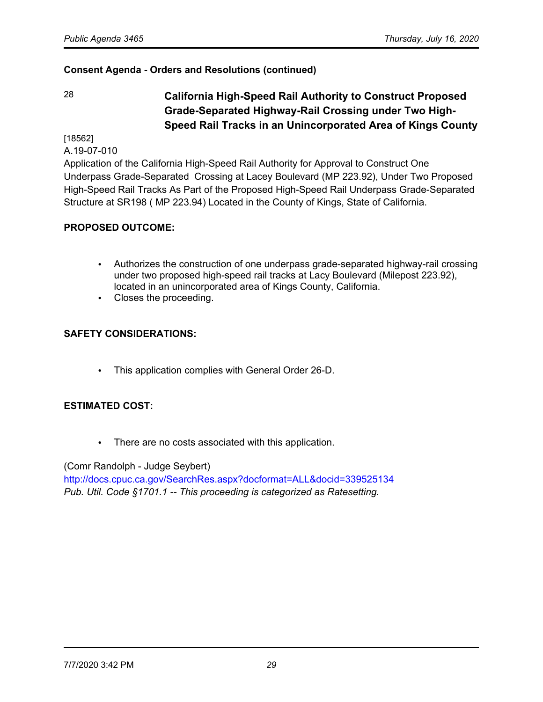28 **California High-Speed Rail Authority to Construct Proposed Grade-Separated Highway-Rail Crossing under Two High-Speed Rail Tracks in an Unincorporated Area of Kings County**

[18562]

A.19-07-010

Application of the California High-Speed Rail Authority for Approval to Construct One Underpass Grade-Separated Crossing at Lacey Boulevard (MP 223.92), Under Two Proposed High-Speed Rail Tracks As Part of the Proposed High-Speed Rail Underpass Grade-Separated Structure at SR198 ( MP 223.94) Located in the County of Kings, State of California.

# **PROPOSED OUTCOME:**

- Authorizes the construction of one underpass grade-separated highway-rail crossing under two proposed high-speed rail tracks at Lacy Boulevard (Milepost 223.92), located in an unincorporated area of Kings County, California.
- Closes the proceeding.

# **SAFETY CONSIDERATIONS:**

• This application complies with General Order 26-D.

# **ESTIMATED COST:**

• There are no costs associated with this application.

(Comr Randolph - Judge Seybert)

<http://docs.cpuc.ca.gov/SearchRes.aspx?docformat=ALL&docid=339525134> *Pub. Util. Code §1701.1 -- This proceeding is categorized as Ratesetting.*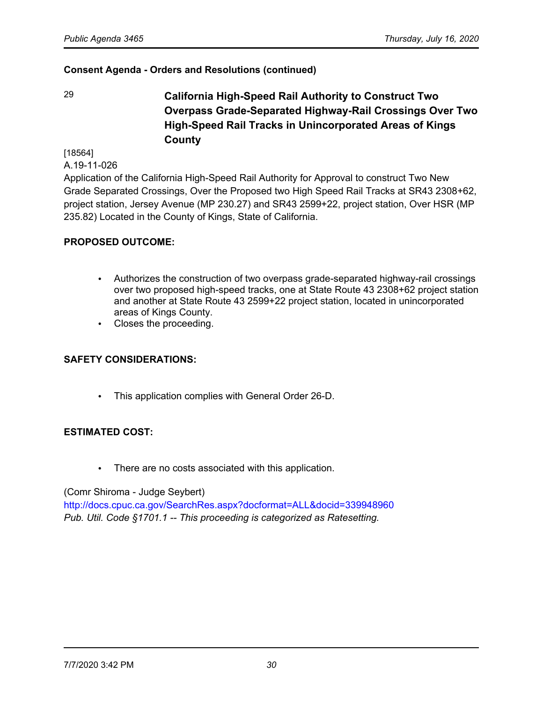29 **California High-Speed Rail Authority to Construct Two Overpass Grade-Separated Highway-Rail Crossings Over Two High-Speed Rail Tracks in Unincorporated Areas of Kings County**

[18564]

A.19-11-026

Application of the California High-Speed Rail Authority for Approval to construct Two New Grade Separated Crossings, Over the Proposed two High Speed Rail Tracks at SR43 2308+62, project station, Jersey Avenue (MP 230.27) and SR43 2599+22, project station, Over HSR (MP 235.82) Located in the County of Kings, State of California.

### **PROPOSED OUTCOME:**

- Authorizes the construction of two overpass grade-separated highway-rail crossings over two proposed high-speed tracks, one at State Route 43 2308+62 project station and another at State Route 43 2599+22 project station, located in unincorporated areas of Kings County.
- Closes the proceeding.

# **SAFETY CONSIDERATIONS:**

• This application complies with General Order 26-D.

# **ESTIMATED COST:**

• There are no costs associated with this application.

(Comr Shiroma - Judge Seybert)

<http://docs.cpuc.ca.gov/SearchRes.aspx?docformat=ALL&docid=339948960> *Pub. Util. Code §1701.1 -- This proceeding is categorized as Ratesetting.*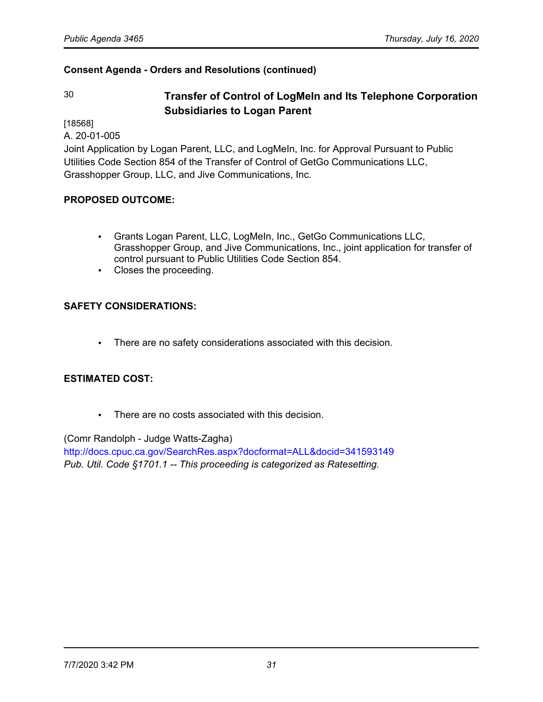# 30 **Transfer of Control of LogMeIn and Its Telephone Corporation Subsidiaries to Logan Parent**

[18568]

A. 20-01-005

Joint Application by Logan Parent, LLC, and LogMeIn, Inc. for Approval Pursuant to Public Utilities Code Section 854 of the Transfer of Control of GetGo Communications LLC, Grasshopper Group, LLC, and Jive Communications, Inc.

# **PROPOSED OUTCOME:**

- Grants Logan Parent, LLC, LogMeIn, Inc., GetGo Communications LLC, Grasshopper Group, and Jive Communications, Inc., joint application for transfer of control pursuant to Public Utilities Code Section 854.
- Closes the proceeding.

# **SAFETY CONSIDERATIONS:**

• There are no safety considerations associated with this decision.

# **ESTIMATED COST:**

• There are no costs associated with this decision.

(Comr Randolph - Judge Watts-Zagha) <http://docs.cpuc.ca.gov/SearchRes.aspx?docformat=ALL&docid=341593149> *Pub. Util. Code §1701.1 -- This proceeding is categorized as Ratesetting.*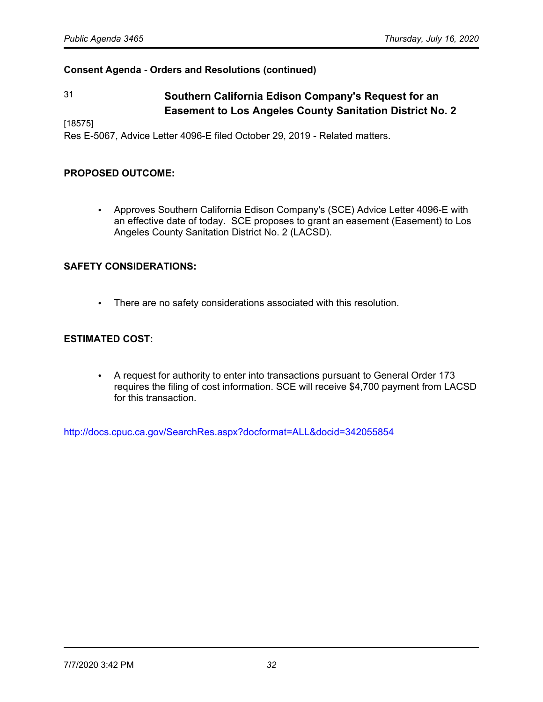# 31 **Southern California Edison Company's Request for an Easement to Los Angeles County Sanitation District No. 2**

[18575]

Res E-5067, Advice Letter 4096-E filed October 29, 2019 - Related matters.

#### **PROPOSED OUTCOME:**

• Approves Southern California Edison Company's (SCE) Advice Letter 4096-E with an effective date of today. SCE proposes to grant an easement (Easement) to Los Angeles County Sanitation District No. 2 (LACSD).

#### **SAFETY CONSIDERATIONS:**

• There are no safety considerations associated with this resolution.

#### **ESTIMATED COST:**

• A request for authority to enter into transactions pursuant to General Order 173 requires the filing of cost information. SCE will receive \$4,700 payment from LACSD for this transaction.

<http://docs.cpuc.ca.gov/SearchRes.aspx?docformat=ALL&docid=342055854>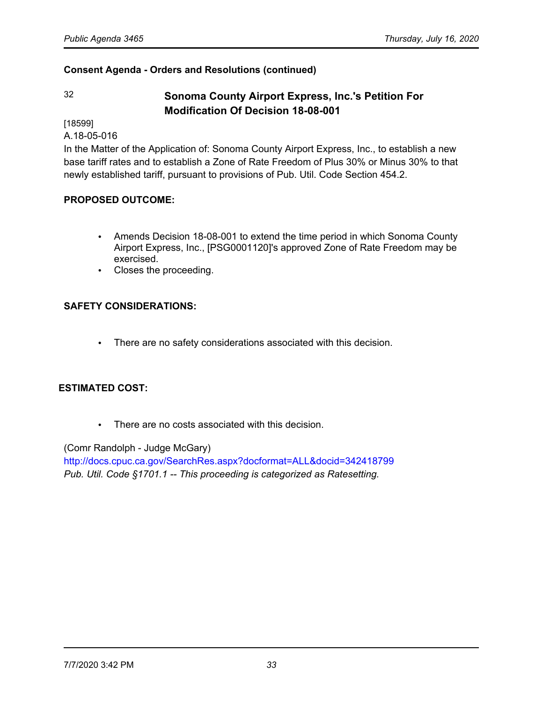# 32 **Sonoma County Airport Express, Inc.'s Petition For Modification Of Decision 18-08-001**

[18599]

A.18-05-016

In the Matter of the Application of: Sonoma County Airport Express, Inc., to establish a new base tariff rates and to establish a Zone of Rate Freedom of Plus 30% or Minus 30% to that newly established tariff, pursuant to provisions of Pub. Util. Code Section 454.2.

# **PROPOSED OUTCOME:**

- Amends Decision 18-08-001 to extend the time period in which Sonoma County Airport Express, Inc., [PSG0001120]'s approved Zone of Rate Freedom may be exercised.
- Closes the proceeding.

# **SAFETY CONSIDERATIONS:**

• There are no safety considerations associated with this decision.

### **ESTIMATED COST:**

• There are no costs associated with this decision.

#### (Comr Randolph - Judge McGary)

<http://docs.cpuc.ca.gov/SearchRes.aspx?docformat=ALL&docid=342418799> *Pub. Util. Code §1701.1 -- This proceeding is categorized as Ratesetting.*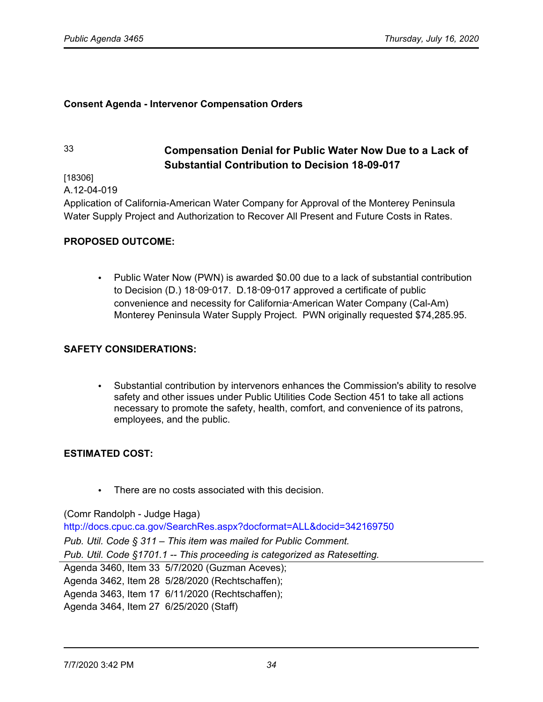#### **Consent Agenda - Intervenor Compensation Orders**

# 33 **Compensation Denial for Public Water Now Due to a Lack of Substantial Contribution to Decision 18-09-017**

[18306]

A.12-04-019

Application of California-American Water Company for Approval of the Monterey Peninsula Water Supply Project and Authorization to Recover All Present and Future Costs in Rates.

#### **PROPOSED OUTCOME:**

• Public Water Now (PWN) is awarded \$0.00 due to a lack of substantial contribution to Decision (D.) 18‑09‑017. D.18‑09‑017 approved a certificate of public convenience and necessity for California‑American Water Company (Cal-Am) Monterey Peninsula Water Supply Project. PWN originally requested \$74,285.95.

#### **SAFETY CONSIDERATIONS:**

• Substantial contribution by intervenors enhances the Commission's ability to resolve safety and other issues under Public Utilities Code Section 451 to take all actions necessary to promote the safety, health, comfort, and convenience of its patrons, employees, and the public.

#### **ESTIMATED COST:**

There are no costs associated with this decision

(Comr Randolph - Judge Haga) <http://docs.cpuc.ca.gov/SearchRes.aspx?docformat=ALL&docid=342169750> *Pub. Util. Code § 311* – *This item was mailed for Public Comment. Pub. Util. Code §1701.1 -- This proceeding is categorized as Ratesetting.* Agenda 3460, Item 33 5/7/2020 (Guzman Aceves); Agenda 3462, Item 28 5/28/2020 (Rechtschaffen); Agenda 3463, Item 17 6/11/2020 (Rechtschaffen); Agenda 3464, Item 27 6/25/2020 (Staff)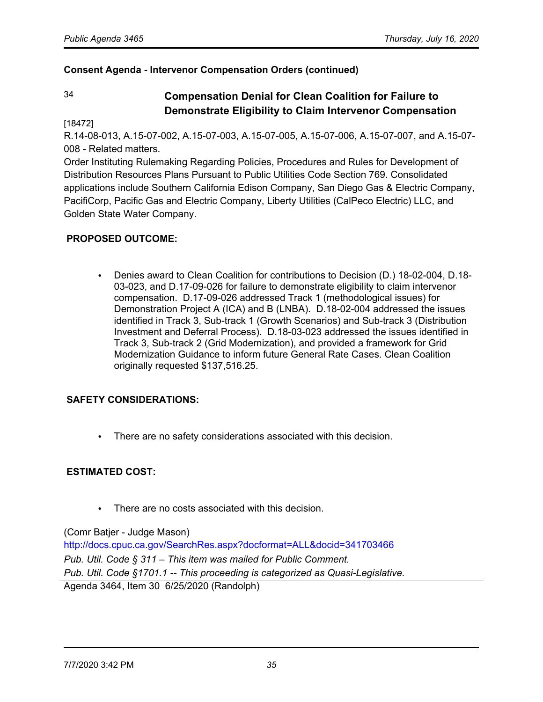### **Consent Agenda - Intervenor Compensation Orders (continued)**

# 34 **Compensation Denial for Clean Coalition for Failure to Demonstrate Eligibility to Claim Intervenor Compensation**

#### [18472]

R.14-08-013, A.15-07-002, A.15-07-003, A.15-07-005, A.15-07-006, A.15-07-007, and A.15-07- 008 - Related matters.

Order Instituting Rulemaking Regarding Policies, Procedures and Rules for Development of Distribution Resources Plans Pursuant to Public Utilities Code Section 769. Consolidated applications include Southern California Edison Company, San Diego Gas & Electric Company, PacifiCorp, Pacific Gas and Electric Company, Liberty Utilities (CalPeco Electric) LLC, and Golden State Water Company.

### **PROPOSED OUTCOME:**

• Denies award to Clean Coalition for contributions to Decision (D.) 18-02-004, D.18- 03-023, and D.17-09-026 for failure to demonstrate eligibility to claim intervenor compensation. D.17-09-026 addressed Track 1 (methodological issues) for Demonstration Project A (ICA) and B (LNBA). D.18-02-004 addressed the issues identified in Track 3, Sub-track 1 (Growth Scenarios) and Sub-track 3 (Distribution Investment and Deferral Process). D.18-03-023 addressed the issues identified in Track 3, Sub-track 2 (Grid Modernization), and provided a framework for Grid Modernization Guidance to inform future General Rate Cases. Clean Coalition originally requested \$137,516.25.

# **SAFETY CONSIDERATIONS:**

• There are no safety considerations associated with this decision.

#### **ESTIMATED COST:**

There are no costs associated with this decision.

#### (Comr Batjer - Judge Mason)

<http://docs.cpuc.ca.gov/SearchRes.aspx?docformat=ALL&docid=341703466> *Pub. Util. Code § 311* – *This item was mailed for Public Comment. Pub. Util. Code §1701.1 -- This proceeding is categorized as Quasi-Legislative.* Agenda 3464, Item 30 6/25/2020 (Randolph)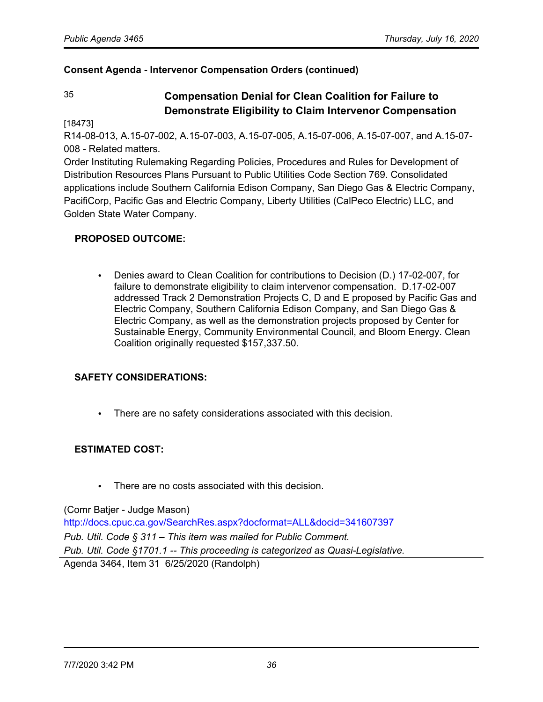### **Consent Agenda - Intervenor Compensation Orders (continued)**

# 35 **Compensation Denial for Clean Coalition for Failure to Demonstrate Eligibility to Claim Intervenor Compensation**

[18473]

R14-08-013, A.15-07-002, A.15-07-003, A.15-07-005, A.15-07-006, A.15-07-007, and A.15-07- 008 - Related matters.

Order Instituting Rulemaking Regarding Policies, Procedures and Rules for Development of Distribution Resources Plans Pursuant to Public Utilities Code Section 769. Consolidated applications include Southern California Edison Company, San Diego Gas & Electric Company, PacifiCorp, Pacific Gas and Electric Company, Liberty Utilities (CalPeco Electric) LLC, and Golden State Water Company.

### **PROPOSED OUTCOME:**

• Denies award to Clean Coalition for contributions to Decision (D.) 17-02-007, for failure to demonstrate eligibility to claim intervenor compensation. D.17-02-007 addressed Track 2 Demonstration Projects C, D and E proposed by Pacific Gas and Electric Company, Southern California Edison Company, and San Diego Gas & Electric Company, as well as the demonstration projects proposed by Center for Sustainable Energy, Community Environmental Council, and Bloom Energy. Clean Coalition originally requested \$157,337.50.

# **SAFETY CONSIDERATIONS:**

There are no safety considerations associated with this decision.

#### **ESTIMATED COST:**

• There are no costs associated with this decision.

(Comr Batjer - Judge Mason)

<http://docs.cpuc.ca.gov/SearchRes.aspx?docformat=ALL&docid=341607397> *Pub. Util. Code § 311* – *This item was mailed for Public Comment. Pub. Util. Code §1701.1 -- This proceeding is categorized as Quasi-Legislative.* Agenda 3464, Item 31 6/25/2020 (Randolph)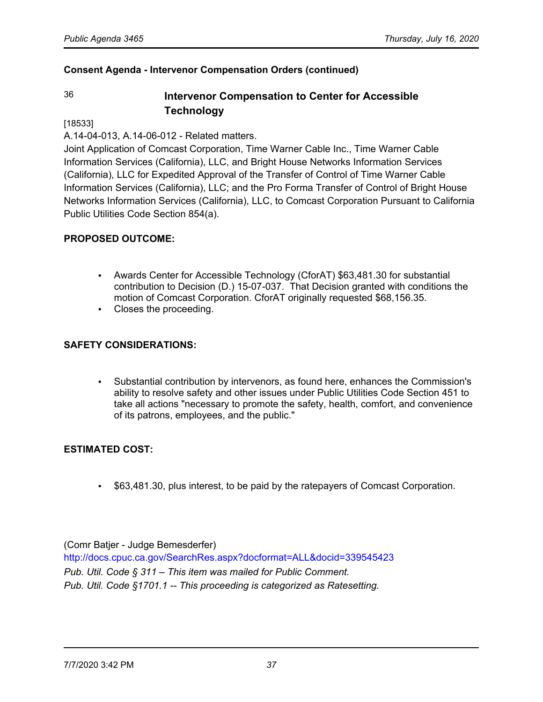# 36 **Intervenor Compensation to Center for Accessible Technology**

#### [18533]

A.14-04-013, A.14-06-012 - Related matters.

Joint Application of Comcast Corporation, Time Warner Cable Inc., Time Warner Cable Information Services (California), LLC, and Bright House Networks Information Services (California), LLC for Expedited Approval of the Transfer of Control of Time Warner Cable Information Services (California), LLC; and the Pro Forma Transfer of Control of Bright House Networks Information Services (California), LLC, to Comcast Corporation Pursuant to California Public Utilities Code Section 854(a).

## **PROPOSED OUTCOME:**

- Awards Center for Accessible Technology (CforAT) \$63,481.30 for substantial contribution to Decision (D.) 15-07-037. That Decision granted with conditions the motion of Comcast Corporation. CforAT originally requested \$68,156.35.
- Closes the proceeding.

#### **SAFETY CONSIDERATIONS:**

• Substantial contribution by intervenors, as found here, enhances the Commission's ability to resolve safety and other issues under Public Utilities Code Section 451 to take all actions "necessary to promote the safety, health, comfort, and convenience of its patrons, employees, and the public."

#### **ESTIMATED COST:**

• \$63,481.30, plus interest, to be paid by the ratepayers of Comcast Corporation.

(Comr Batjer - Judge Bemesderfer)

<http://docs.cpuc.ca.gov/SearchRes.aspx?docformat=ALL&docid=339545423> *Pub. Util. Code § 311* – *This item was mailed for Public Comment. Pub. Util. Code §1701.1 -- This proceeding is categorized as Ratesetting.*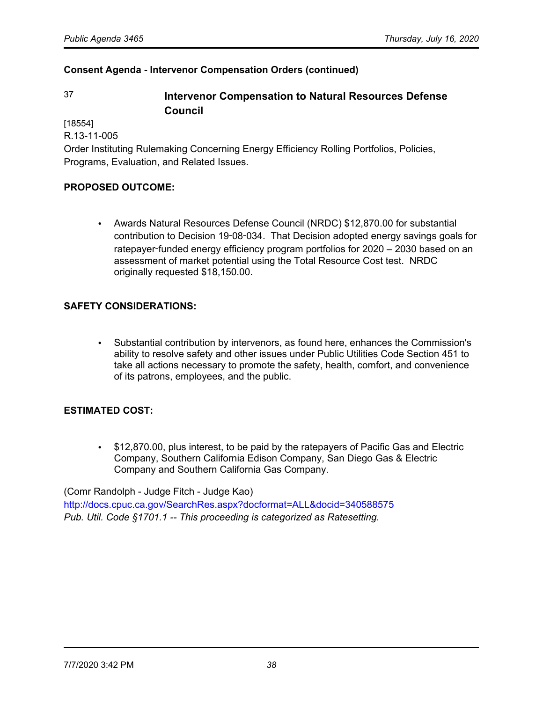# 37 **Intervenor Compensation to Natural Resources Defense Council**

[18554]

R.13-11-005

Order Instituting Rulemaking Concerning Energy Efficiency Rolling Portfolios, Policies, Programs, Evaluation, and Related Issues.

## **PROPOSED OUTCOME:**

• Awards Natural Resources Defense Council (NRDC) \$12,870.00 for substantial contribution to Decision 19‑08‑034. That Decision adopted energy savings goals for ratepayer-funded energy efficiency program portfolios for 2020 – 2030 based on an assessment of market potential using the Total Resource Cost test. NRDC originally requested \$18,150.00.

## **SAFETY CONSIDERATIONS:**

• Substantial contribution by intervenors, as found here, enhances the Commission's ability to resolve safety and other issues under Public Utilities Code Section 451 to take all actions necessary to promote the safety, health, comfort, and convenience of its patrons, employees, and the public.

#### **ESTIMATED COST:**

• \$12,870.00, plus interest, to be paid by the ratepayers of Pacific Gas and Electric Company, Southern California Edison Company, San Diego Gas & Electric Company and Southern California Gas Company.

(Comr Randolph - Judge Fitch - Judge Kao)

<http://docs.cpuc.ca.gov/SearchRes.aspx?docformat=ALL&docid=340588575> *Pub. Util. Code §1701.1 -- This proceeding is categorized as Ratesetting.*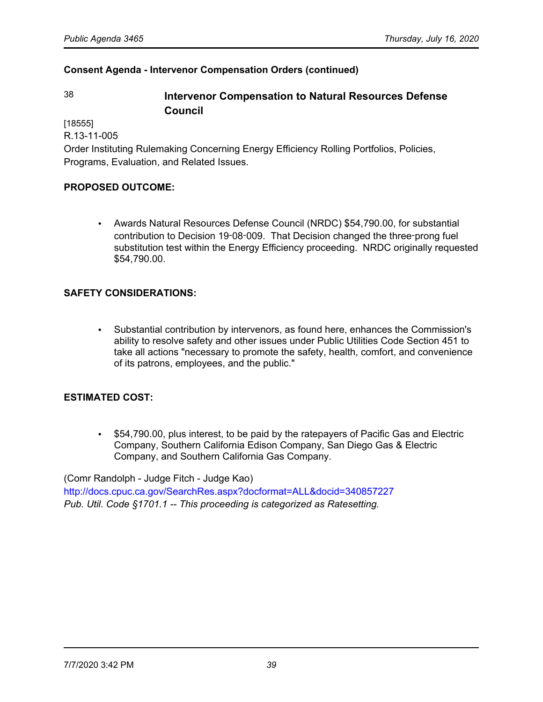# 38 **Intervenor Compensation to Natural Resources Defense Council**

[18555]

R.13-11-005

Order Instituting Rulemaking Concerning Energy Efficiency Rolling Portfolios, Policies, Programs, Evaluation, and Related Issues.

## **PROPOSED OUTCOME:**

• Awards Natural Resources Defense Council (NRDC) \$54,790.00, for substantial contribution to Decision 19‑08‑009. That Decision changed the three‑prong fuel substitution test within the Energy Efficiency proceeding. NRDC originally requested \$54,790.00.

## **SAFETY CONSIDERATIONS:**

• Substantial contribution by intervenors, as found here, enhances the Commission's ability to resolve safety and other issues under Public Utilities Code Section 451 to take all actions "necessary to promote the safety, health, comfort, and convenience of its patrons, employees, and the public."

## **ESTIMATED COST:**

• \$54,790.00, plus interest, to be paid by the ratepayers of Pacific Gas and Electric Company, Southern California Edison Company, San Diego Gas & Electric Company, and Southern California Gas Company.

(Comr Randolph - Judge Fitch - Judge Kao)

<http://docs.cpuc.ca.gov/SearchRes.aspx?docformat=ALL&docid=340857227> *Pub. Util. Code §1701.1 -- This proceeding is categorized as Ratesetting.*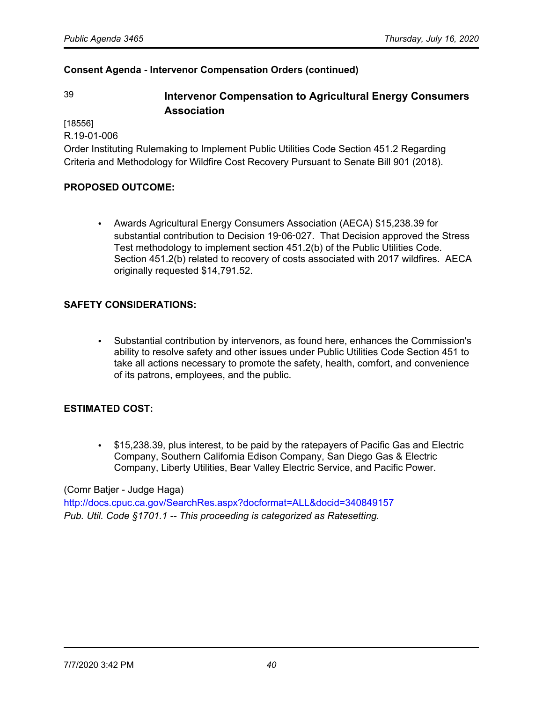# 39 **Intervenor Compensation to Agricultural Energy Consumers Association**

[18556]

R.19-01-006

Order Instituting Rulemaking to Implement Public Utilities Code Section 451.2 Regarding Criteria and Methodology for Wildfire Cost Recovery Pursuant to Senate Bill 901 (2018).

## **PROPOSED OUTCOME:**

• Awards Agricultural Energy Consumers Association (AECA) \$15,238.39 for substantial contribution to Decision 19‑06‑027. That Decision approved the Stress Test methodology to implement section 451.2(b) of the Public Utilities Code. Section 451.2(b) related to recovery of costs associated with 2017 wildfires. AECA originally requested \$14,791.52.

## **SAFETY CONSIDERATIONS:**

• Substantial contribution by intervenors, as found here, enhances the Commission's ability to resolve safety and other issues under Public Utilities Code Section 451 to take all actions necessary to promote the safety, health, comfort, and convenience of its patrons, employees, and the public.

#### **ESTIMATED COST:**

• \$15,238.39, plus interest, to be paid by the ratepayers of Pacific Gas and Electric Company, Southern California Edison Company, San Diego Gas & Electric Company, Liberty Utilities, Bear Valley Electric Service, and Pacific Power.

#### (Comr Batjer - Judge Haga)

<http://docs.cpuc.ca.gov/SearchRes.aspx?docformat=ALL&docid=340849157> *Pub. Util. Code §1701.1 -- This proceeding is categorized as Ratesetting.*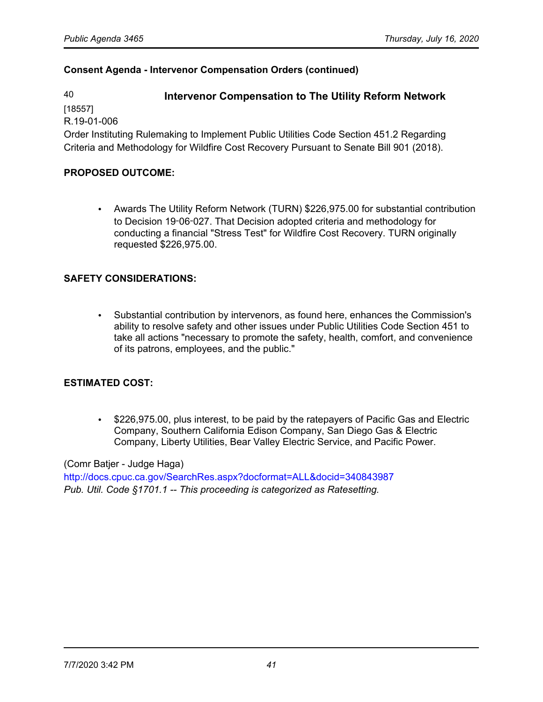# 40 **Intervenor Compensation to The Utility Reform Network**

[18557]

R.19-01-006

Order Instituting Rulemaking to Implement Public Utilities Code Section 451.2 Regarding Criteria and Methodology for Wildfire Cost Recovery Pursuant to Senate Bill 901 (2018).

# **PROPOSED OUTCOME:**

• Awards The Utility Reform Network (TURN) \$226,975.00 for substantial contribution to Decision 19‑06‑027. That Decision adopted criteria and methodology for conducting a financial "Stress Test" for Wildfire Cost Recovery. TURN originally requested \$226,975.00.

# **SAFETY CONSIDERATIONS:**

• Substantial contribution by intervenors, as found here, enhances the Commission's ability to resolve safety and other issues under Public Utilities Code Section 451 to take all actions "necessary to promote the safety, health, comfort, and convenience of its patrons, employees, and the public."

## **ESTIMATED COST:**

• \$226,975.00, plus interest, to be paid by the ratepayers of Pacific Gas and Electric Company, Southern California Edison Company, San Diego Gas & Electric Company, Liberty Utilities, Bear Valley Electric Service, and Pacific Power.

#### (Comr Batjer - Judge Haga)

<http://docs.cpuc.ca.gov/SearchRes.aspx?docformat=ALL&docid=340843987> *Pub. Util. Code §1701.1 -- This proceeding is categorized as Ratesetting.*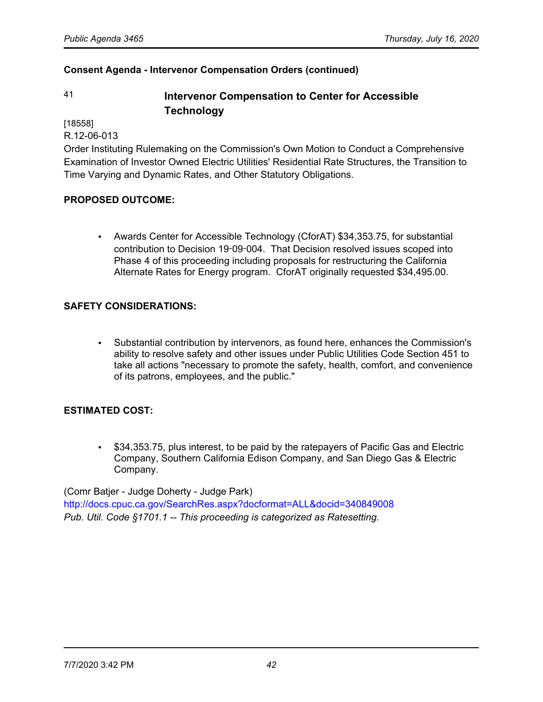# 41 **Intervenor Compensation to Center for Accessible Technology**

[18558]

R.12-06-013

Order Instituting Rulemaking on the Commission's Own Motion to Conduct a Comprehensive Examination of Investor Owned Electric Utilities' Residential Rate Structures, the Transition to Time Varying and Dynamic Rates, and Other Statutory Obligations.

## **PROPOSED OUTCOME:**

• Awards Center for Accessible Technology (CforAT) \$34,353.75, for substantial contribution to Decision 19‑09‑004. That Decision resolved issues scoped into Phase 4 of this proceeding including proposals for restructuring the California Alternate Rates for Energy program. CforAT originally requested \$34,495.00.

## **SAFETY CONSIDERATIONS:**

• Substantial contribution by intervenors, as found here, enhances the Commission's ability to resolve safety and other issues under Public Utilities Code Section 451 to take all actions "necessary to promote the safety, health, comfort, and convenience of its patrons, employees, and the public."

## **ESTIMATED COST:**

• \$34,353.75, plus interest, to be paid by the ratepayers of Pacific Gas and Electric Company, Southern California Edison Company, and San Diego Gas & Electric Company.

(Comr Batjer - Judge Doherty - Judge Park)

<http://docs.cpuc.ca.gov/SearchRes.aspx?docformat=ALL&docid=340849008> *Pub. Util. Code §1701.1 -- This proceeding is categorized as Ratesetting.*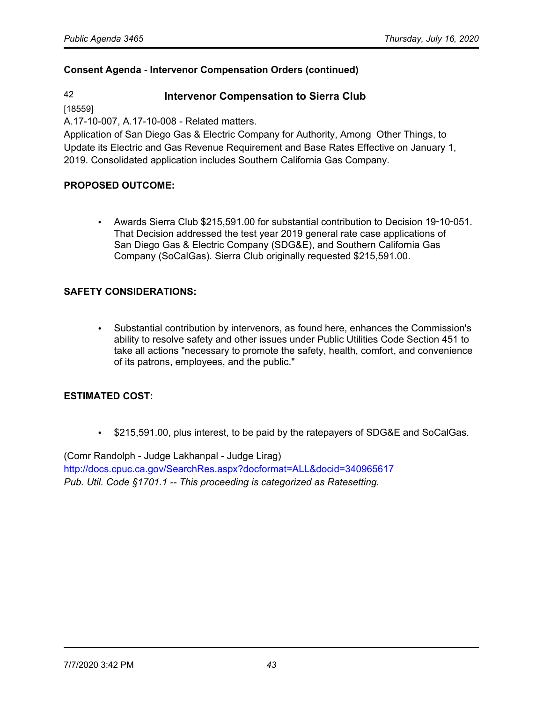# 42 **Intervenor Compensation to Sierra Club**

[18559]

A.17-10-007, A.17-10-008 - Related matters.

Application of San Diego Gas & Electric Company for Authority, Among Other Things, to Update its Electric and Gas Revenue Requirement and Base Rates Effective on January 1, 2019. Consolidated application includes Southern California Gas Company.

## **PROPOSED OUTCOME:**

• Awards Sierra Club \$215,591.00 for substantial contribution to Decision 19‑10‑051. That Decision addressed the test year 2019 general rate case applications of San Diego Gas & Electric Company (SDG&E), and Southern California Gas Company (SoCalGas). Sierra Club originally requested \$215,591.00.

## **SAFETY CONSIDERATIONS:**

• Substantial contribution by intervenors, as found here, enhances the Commission's ability to resolve safety and other issues under Public Utilities Code Section 451 to take all actions "necessary to promote the safety, health, comfort, and convenience of its patrons, employees, and the public."

## **ESTIMATED COST:**

• \$215,591.00, plus interest, to be paid by the ratepayers of SDG&E and SoCalGas.

(Comr Randolph - Judge Lakhanpal - Judge Lirag) <http://docs.cpuc.ca.gov/SearchRes.aspx?docformat=ALL&docid=340965617> *Pub. Util. Code §1701.1 -- This proceeding is categorized as Ratesetting.*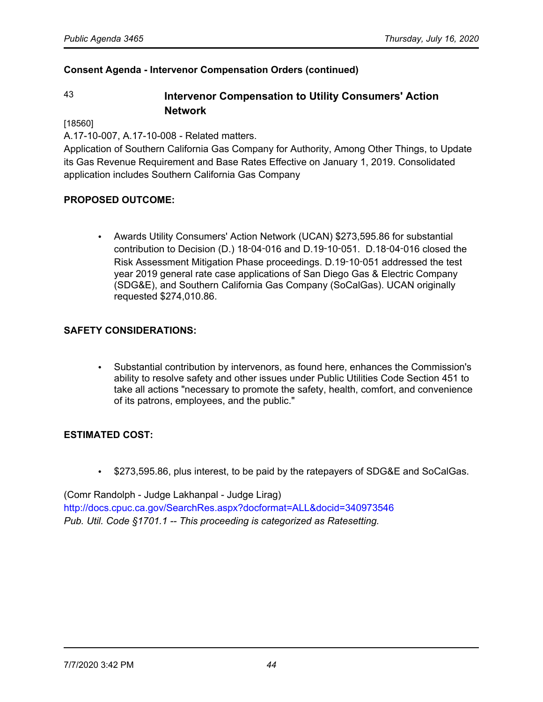# 43 **Intervenor Compensation to Utility Consumers' Action Network**

[18560]

A.17-10-007, A.17-10-008 - Related matters.

Application of Southern California Gas Company for Authority, Among Other Things, to Update its Gas Revenue Requirement and Base Rates Effective on January 1, 2019. Consolidated application includes Southern California Gas Company

# **PROPOSED OUTCOME:**

• Awards Utility Consumers' Action Network (UCAN) \$273,595.86 for substantial contribution to Decision (D.) 18‑04‑016 and D.19‑10‑051. D.18‑04‑016 closed the Risk Assessment Mitigation Phase proceedings. D.19‑10‑051 addressed the test year 2019 general rate case applications of San Diego Gas & Electric Company (SDG&E), and Southern California Gas Company (SoCalGas). UCAN originally requested \$274,010.86.

## **SAFETY CONSIDERATIONS:**

• Substantial contribution by intervenors, as found here, enhances the Commission's ability to resolve safety and other issues under Public Utilities Code Section 451 to take all actions "necessary to promote the safety, health, comfort, and convenience of its patrons, employees, and the public."

## **ESTIMATED COST:**

• \$273,595.86, plus interest, to be paid by the ratepayers of SDG&E and SoCalGas.

(Comr Randolph - Judge Lakhanpal - Judge Lirag) <http://docs.cpuc.ca.gov/SearchRes.aspx?docformat=ALL&docid=340973546> *Pub. Util. Code §1701.1 -- This proceeding is categorized as Ratesetting.*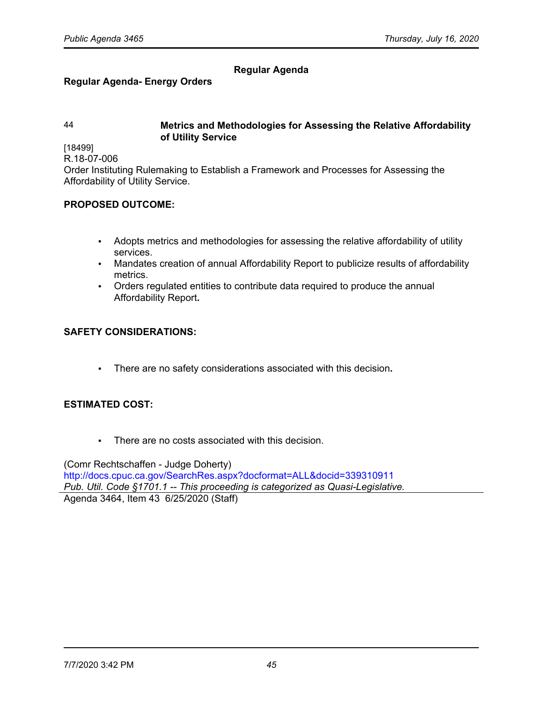# **Regular Agenda**

## **Regular Agenda- Energy Orders**

## 44 **Metrics and Methodologies for Assessing the Relative Affordability of Utility Service**

[18499] R.18-07-006

Order Instituting Rulemaking to Establish a Framework and Processes for Assessing the Affordability of Utility Service.

## **PROPOSED OUTCOME:**

- Adopts metrics and methodologies for assessing the relative affordability of utility services.
- Mandates creation of annual Affordability Report to publicize results of affordability metrics.
- Orders regulated entities to contribute data required to produce the annual Affordability Report**.**

## **SAFETY CONSIDERATIONS:**

• There are no safety considerations associated with this decision**.**

## **ESTIMATED COST:**

• There are no costs associated with this decision.

(Comr Rechtschaffen - Judge Doherty) <http://docs.cpuc.ca.gov/SearchRes.aspx?docformat=ALL&docid=339310911> *Pub. Util. Code §1701.1 -- This proceeding is categorized as Quasi-Legislative.* Agenda 3464, Item 43 6/25/2020 (Staff)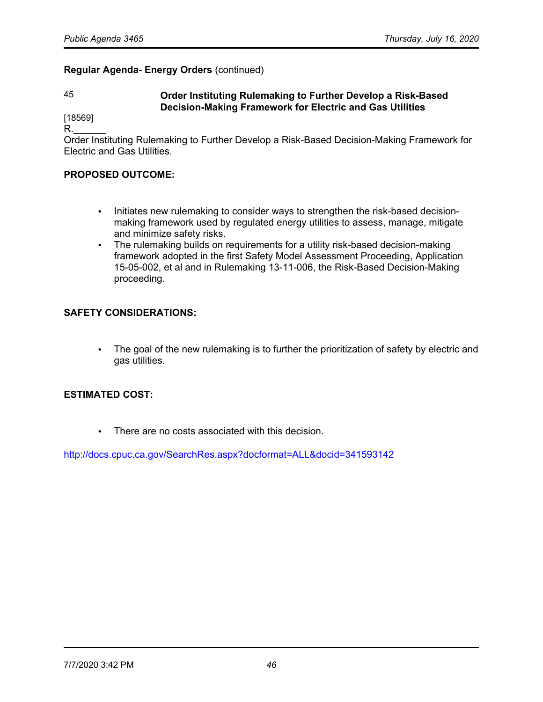### **Regular Agenda- Energy Orders** (continued)

## 45 **Order Instituting Rulemaking to Further Develop a Risk-Based Decision-Making Framework for Electric and Gas Utilities**

[18569]  $\mathsf R$ .

Order Instituting Rulemaking to Further Develop a Risk-Based Decision-Making Framework for Electric and Gas Utilities.

#### **PROPOSED OUTCOME:**

- Initiates new rulemaking to consider ways to strengthen the risk-based decisionmaking framework used by regulated energy utilities to assess, manage, mitigate and minimize safety risks.
- The rulemaking builds on requirements for a utility risk-based decision-making framework adopted in the first Safety Model Assessment Proceeding, Application 15-05-002, et al and in Rulemaking 13-11-006, the Risk-Based Decision-Making proceeding.

#### **SAFETY CONSIDERATIONS:**

• The goal of the new rulemaking is to further the prioritization of safety by electric and gas utilities.

#### **ESTIMATED COST:**

• There are no costs associated with this decision.

<http://docs.cpuc.ca.gov/SearchRes.aspx?docformat=ALL&docid=341593142>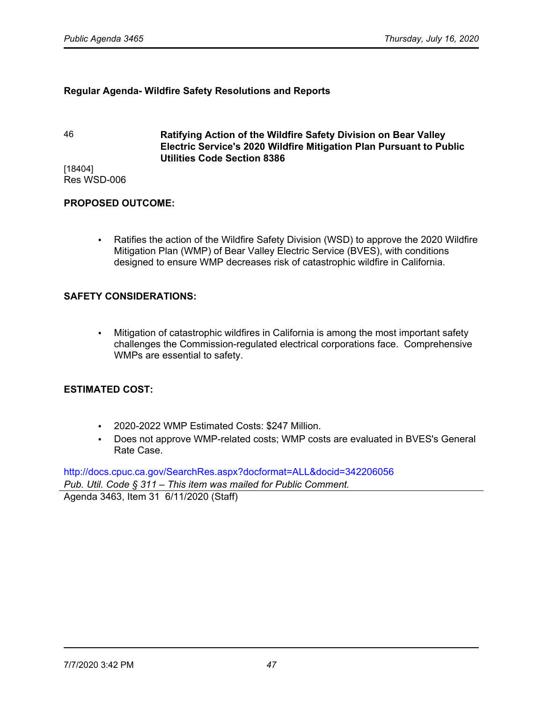#### **Regular Agenda- Wildfire Safety Resolutions and Reports**

46 **Ratifying Action of the Wildfire Safety Division on Bear Valley Electric Service's 2020 Wildfire Mitigation Plan Pursuant to Public Utilities Code Section 8386**

[18404] Res WSD-006

#### **PROPOSED OUTCOME:**

• Ratifies the action of the Wildfire Safety Division (WSD) to approve the 2020 Wildfire Mitigation Plan (WMP) of Bear Valley Electric Service (BVES), with conditions designed to ensure WMP decreases risk of catastrophic wildfire in California.

## **SAFETY CONSIDERATIONS:**

• Mitigation of catastrophic wildfires in California is among the most important safety challenges the Commission-regulated electrical corporations face. Comprehensive WMPs are essential to safety.

#### **ESTIMATED COST:**

- 2020-2022 WMP Estimated Costs: \$247 Million.
- Does not approve WMP-related costs; WMP costs are evaluated in BVES's General Rate Case.

<http://docs.cpuc.ca.gov/SearchRes.aspx?docformat=ALL&docid=342206056> *Pub. Util. Code § 311* – *This item was mailed for Public Comment.*

Agenda 3463, Item 31 6/11/2020 (Staff)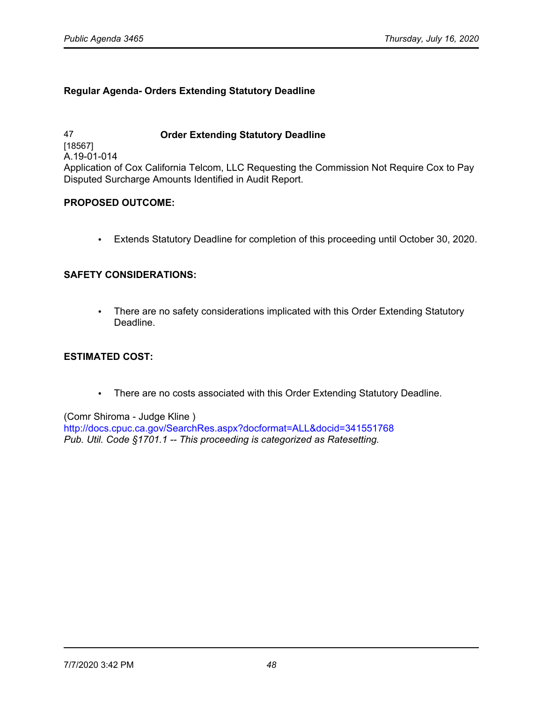## **Regular Agenda- Orders Extending Statutory Deadline**

47 **Order Extending Statutory Deadline** [18567] A.19-01-014 Application of Cox California Telcom, LLC Requesting the Commission Not Require Cox to Pay Disputed Surcharge Amounts Identified in Audit Report.

## **PROPOSED OUTCOME:**

• Extends Statutory Deadline for completion of this proceeding until October 30, 2020.

## **SAFETY CONSIDERATIONS:**

• There are no safety considerations implicated with this Order Extending Statutory Deadline.

#### **ESTIMATED COST:**

• There are no costs associated with this Order Extending Statutory Deadline.

#### (Comr Shiroma - Judge Kline )

<http://docs.cpuc.ca.gov/SearchRes.aspx?docformat=ALL&docid=341551768> *Pub. Util. Code §1701.1 -- This proceeding is categorized as Ratesetting.*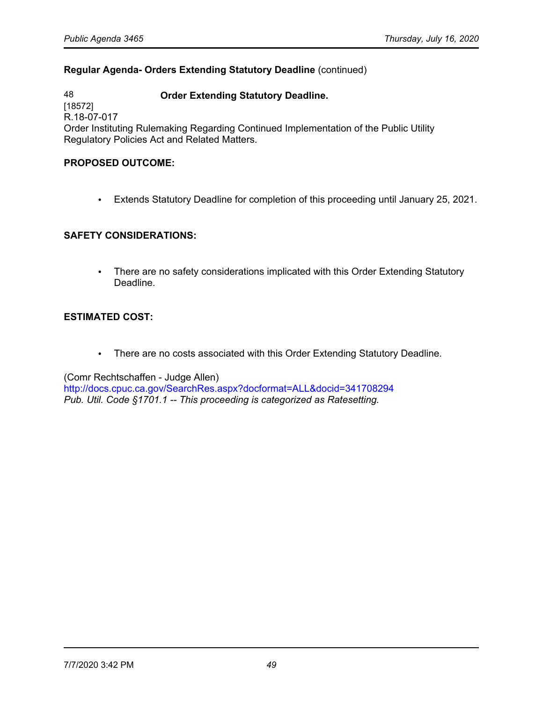## **Regular Agenda- Orders Extending Statutory Deadline** (continued)

48 **Order Extending Statutory Deadline.** [18572] R.18-07-017 Order Instituting Rulemaking Regarding Continued Implementation of the Public Utility Regulatory Policies Act and Related Matters.

#### **PROPOSED OUTCOME:**

• Extends Statutory Deadline for completion of this proceeding until January 25, 2021.

## **SAFETY CONSIDERATIONS:**

• There are no safety considerations implicated with this Order Extending Statutory Deadline.

## **ESTIMATED COST:**

• There are no costs associated with this Order Extending Statutory Deadline.

(Comr Rechtschaffen - Judge Allen)

<http://docs.cpuc.ca.gov/SearchRes.aspx?docformat=ALL&docid=341708294> *Pub. Util. Code §1701.1 -- This proceeding is categorized as Ratesetting.*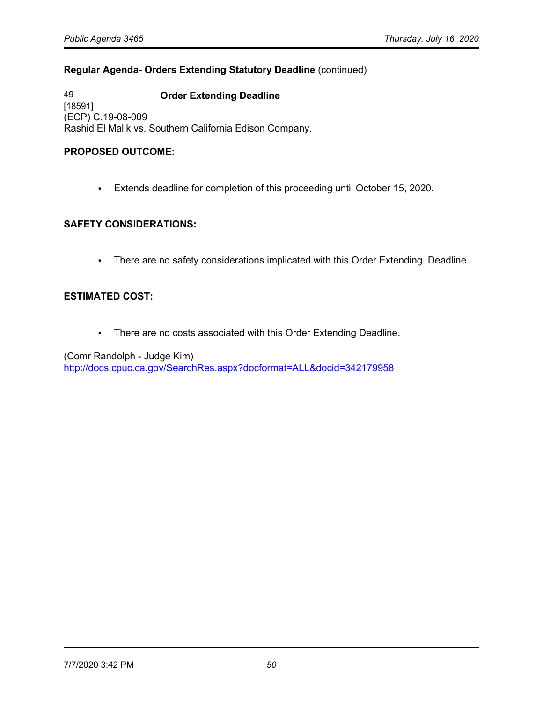## **Regular Agenda- Orders Extending Statutory Deadline** (continued)

49 **Order Extending Deadline** [18591] (ECP) C.19-08-009 Rashid El Malik vs. Southern California Edison Company.

## **PROPOSED OUTCOME:**

• Extends deadline for completion of this proceeding until October 15, 2020.

#### **SAFETY CONSIDERATIONS:**

• There are no safety considerations implicated with this Order Extending Deadline.

## **ESTIMATED COST:**

• There are no costs associated with this Order Extending Deadline.

(Comr Randolph - Judge Kim) <http://docs.cpuc.ca.gov/SearchRes.aspx?docformat=ALL&docid=342179958>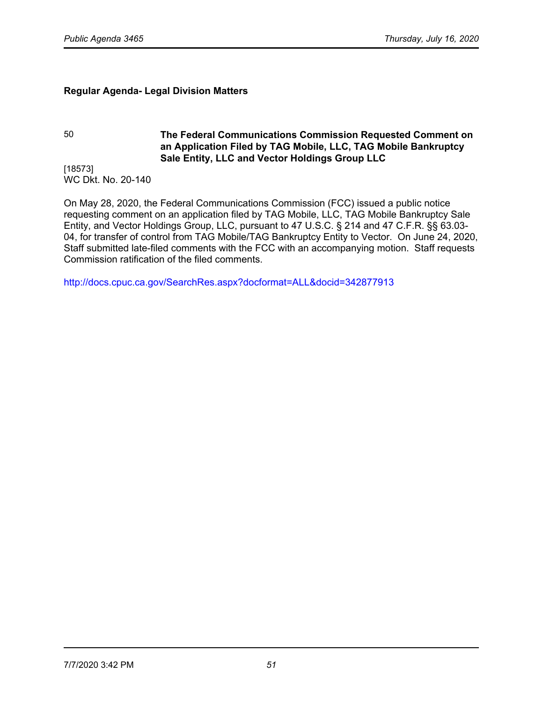## **Regular Agenda- Legal Division Matters**

## 50 **The Federal Communications Commission Requested Comment on an Application Filed by TAG Mobile, LLC, TAG Mobile Bankruptcy Sale Entity, LLC and Vector Holdings Group LLC**

[18573] WC Dkt. No. 20-140

On May 28, 2020, the Federal Communications Commission (FCC) issued a public notice requesting comment on an application filed by TAG Mobile, LLC, TAG Mobile Bankruptcy Sale Entity, and Vector Holdings Group, LLC, pursuant to 47 U.S.C. § 214 and 47 C.F.R. §§ 63.03- 04, for transfer of control from TAG Mobile/TAG Bankruptcy Entity to Vector. On June 24, 2020, Staff submitted late-filed comments with the FCC with an accompanying motion. Staff requests Commission ratification of the filed comments.

<http://docs.cpuc.ca.gov/SearchRes.aspx?docformat=ALL&docid=342877913>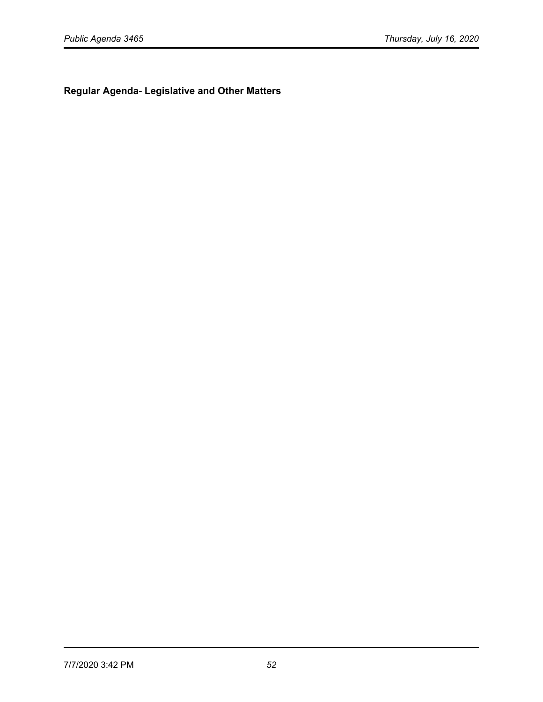**Regular Agenda- Legislative and Other Matters**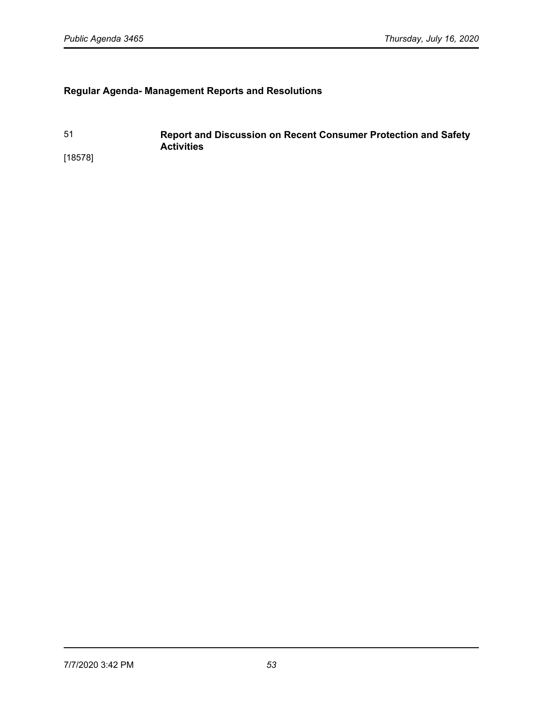# **Regular Agenda- Management Reports and Resolutions**

51 **Report and Discussion on Recent Consumer Protection and Safety Activities** [18578]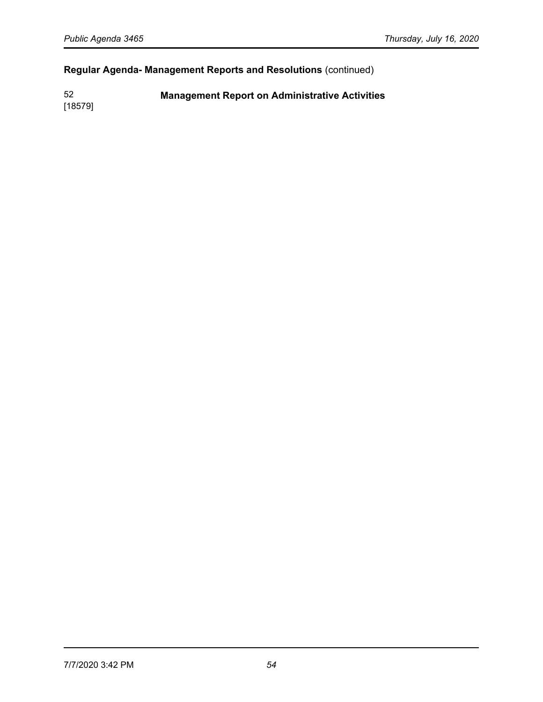# **Regular Agenda- Management Reports and Resolutions** (continued)

52 **Management Report on Administrative Activities**

[18579]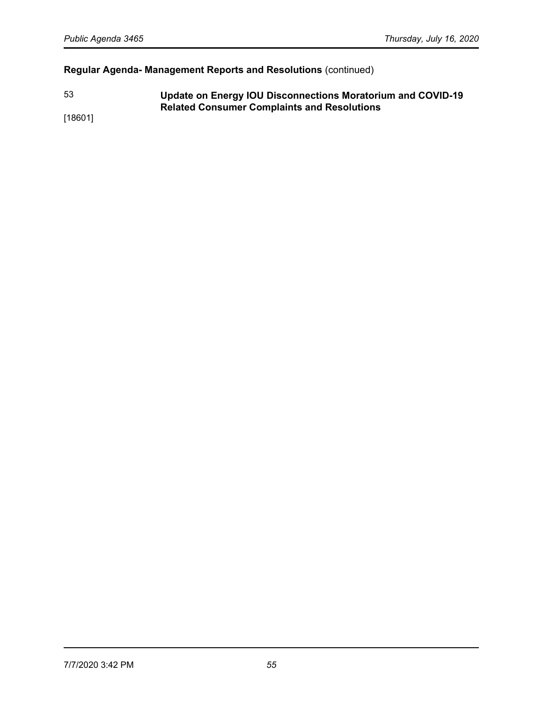# **Regular Agenda- Management Reports and Resolutions** (continued)

53 **Update on Energy IOU Disconnections Moratorium and COVID-19 Related Consumer Complaints and Resolutions** 

[18601]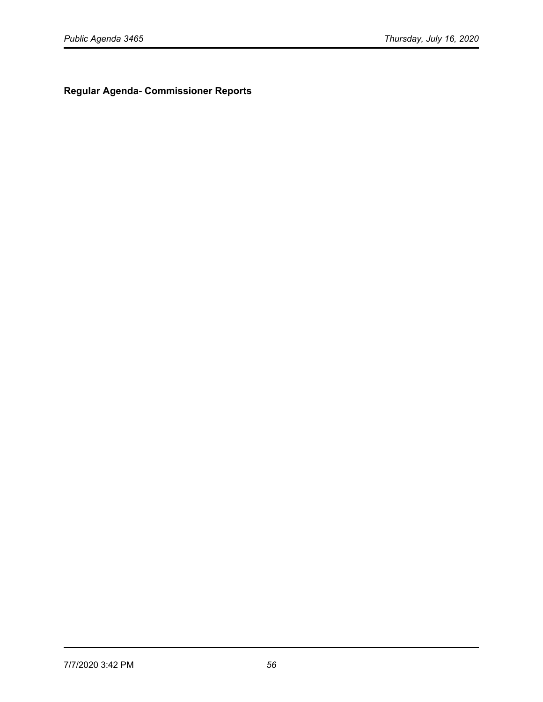**Regular Agenda- Commissioner Reports**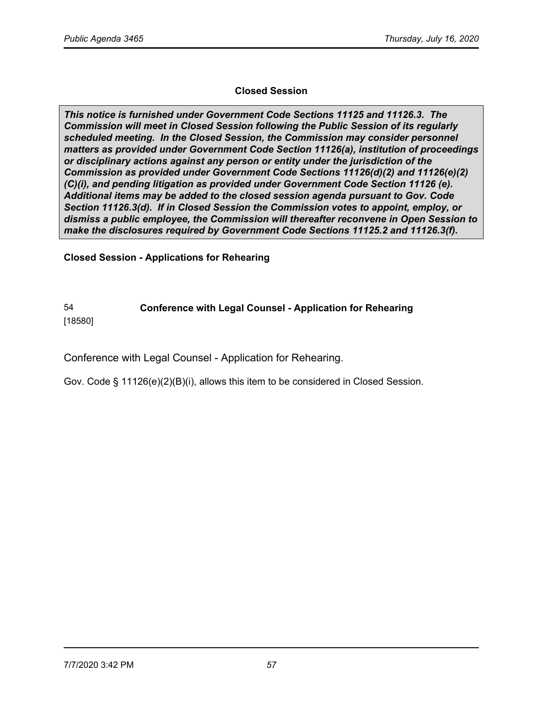## **Closed Session**

*This notice is furnished under Government Code Sections 11125 and 11126.3. The Commission will meet in Closed Session following the Public Session of its regularly scheduled meeting. In the Closed Session, the Commission may consider personnel matters as provided under Government Code Section 11126(a), institution of proceedings or disciplinary actions against any person or entity under the jurisdiction of the Commission as provided under Government Code Sections 11126(d)(2) and 11126(e)(2) (C)(i), and pending litigation as provided under Government Code Section 11126 (e). Additional items may be added to the closed session agenda pursuant to Gov. Code Section 11126.3(d). If in Closed Session the Commission votes to appoint, employ, or dismiss a public employee, the Commission will thereafter reconvene in Open Session to make the disclosures required by Government Code Sections 11125.2 and 11126.3(f).*

**Closed Session - Applications for Rehearing** 

# 54 **Conference with Legal Counsel - Application for Rehearing**

[18580]

Conference with Legal Counsel - Application for Rehearing.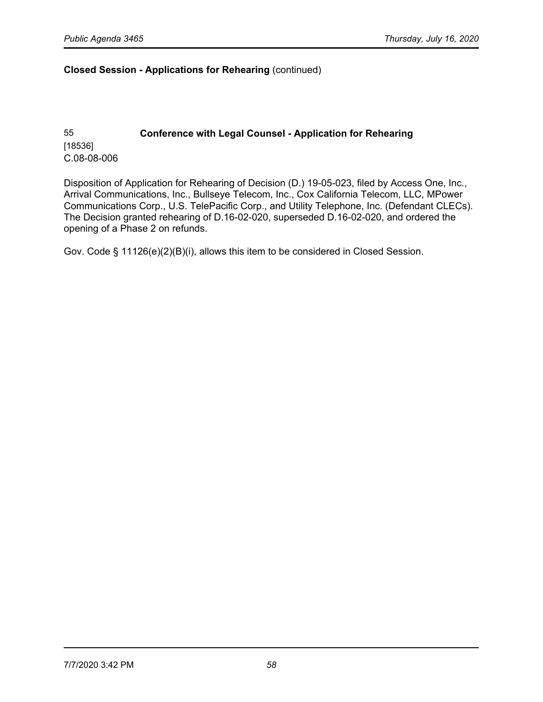55 **Conference with Legal Counsel - Application for Rehearing** [18536] C.08-08-006

Disposition of Application for Rehearing of Decision (D.) 19-05-023, filed by Access One, Inc., Arrival Communications, Inc., Bullseye Telecom, Inc., Cox California Telecom, LLC, MPower Communications Corp., U.S. TelePacific Corp., and Utility Telephone, Inc. (Defendant CLECs). The Decision granted rehearing of D.16-02-020, superseded D.16-02-020, and ordered the opening of a Phase 2 on refunds.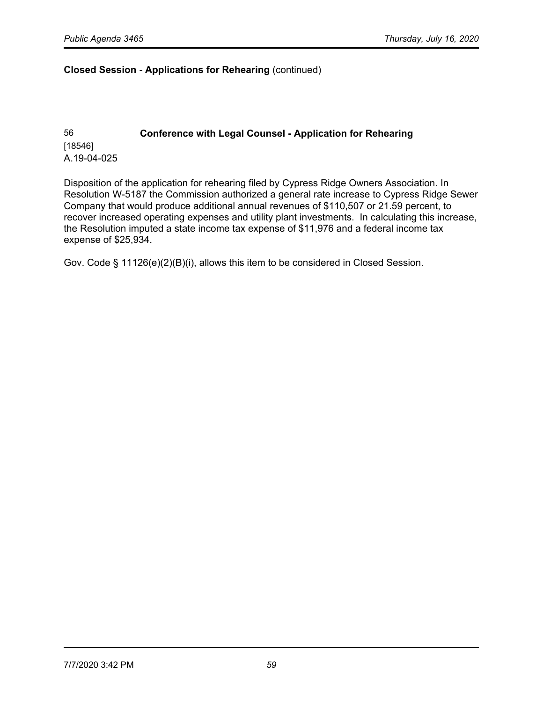# 56 **Conference with Legal Counsel - Application for Rehearing**  [18546] A.19-04-025

Disposition of the application for rehearing filed by Cypress Ridge Owners Association. In Resolution W-5187 the Commission authorized a general rate increase to Cypress Ridge Sewer Company that would produce additional annual revenues of \$110,507 or 21.59 percent, to recover increased operating expenses and utility plant investments. In calculating this increase, the Resolution imputed a state income tax expense of \$11,976 and a federal income tax expense of \$25,934.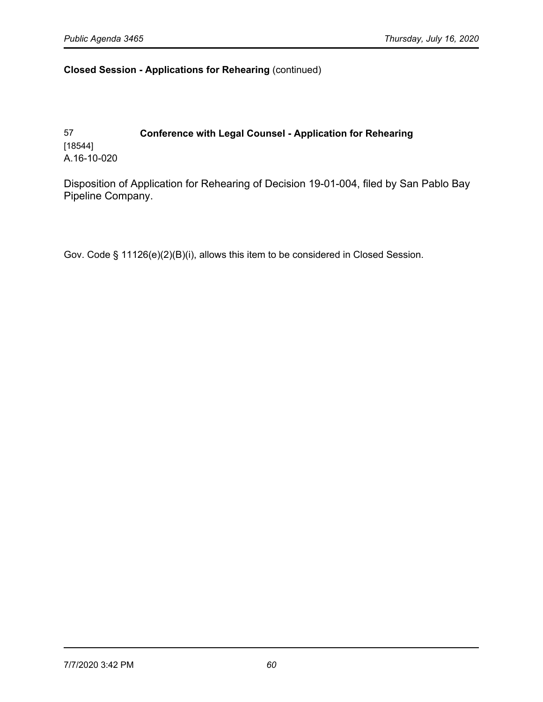# 57 **Conference with Legal Counsel - Application for Rehearing** [18544] A.16-10-020

Disposition of Application for Rehearing of Decision 19-01-004, filed by San Pablo Bay Pipeline Company.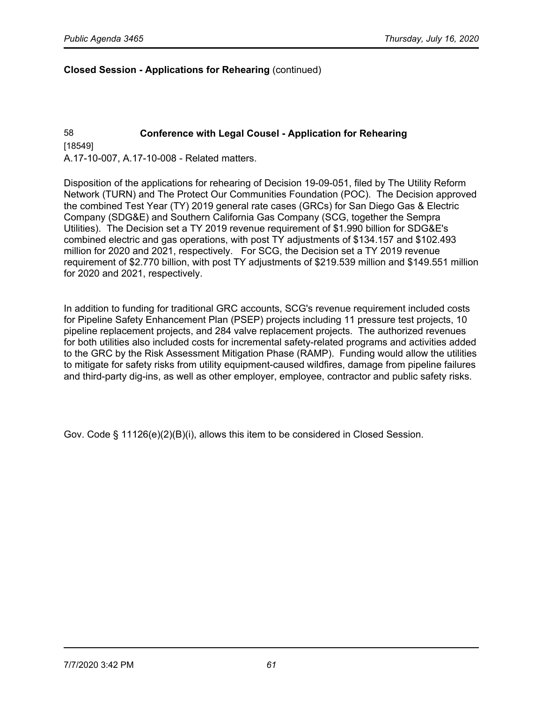## 58 **Conference with Legal Cousel - Application for Rehearing** [18549] A.17-10-007, A.17-10-008 - Related matters.

Disposition of the applications for rehearing of Decision 19-09-051, filed by The Utility Reform Network (TURN) and The Protect Our Communities Foundation (POC). The Decision approved the combined Test Year (TY) 2019 general rate cases (GRCs) for San Diego Gas & Electric Company (SDG&E) and Southern California Gas Company (SCG, together the Sempra Utilities). The Decision set a TY 2019 revenue requirement of \$1.990 billion for SDG&E's combined electric and gas operations, with post TY adjustments of \$134.157 and \$102.493 million for 2020 and 2021, respectively. For SCG, the Decision set a TY 2019 revenue requirement of \$2.770 billion, with post TY adjustments of \$219.539 million and \$149.551 million for 2020 and 2021, respectively.

In addition to funding for traditional GRC accounts, SCG's revenue requirement included costs for Pipeline Safety Enhancement Plan (PSEP) projects including 11 pressure test projects, 10 pipeline replacement projects, and 284 valve replacement projects. The authorized revenues for both utilities also included costs for incremental safety-related programs and activities added to the GRC by the Risk Assessment Mitigation Phase (RAMP). Funding would allow the utilities to mitigate for safety risks from utility equipment-caused wildfires, damage from pipeline failures and third-party dig-ins, as well as other employer, employee, contractor and public safety risks.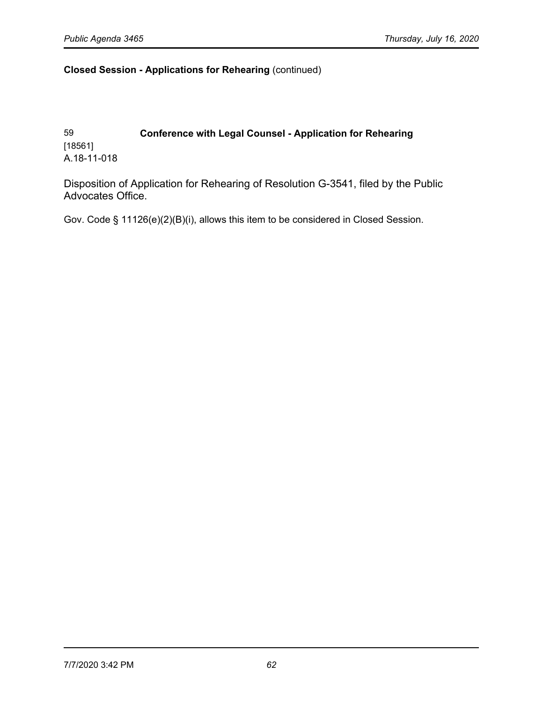# 59 **Conference with Legal Counsel - Application for Rehearing** [18561] A.18-11-018

Disposition of Application for Rehearing of Resolution G-3541, filed by the Public Advocates Office.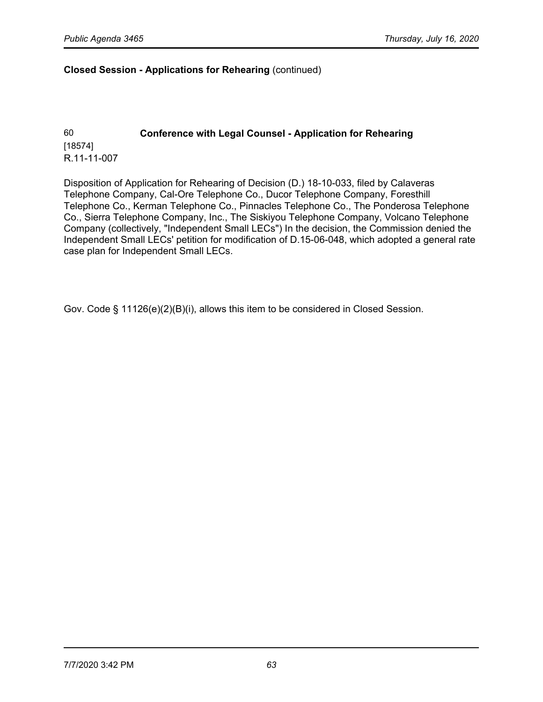60 **Conference with Legal Counsel - Application for Rehearing** [18574] R.11-11-007

Disposition of Application for Rehearing of Decision (D.) 18-10-033, filed by Calaveras Telephone Company, Cal-Ore Telephone Co., Ducor Telephone Company, Foresthill Telephone Co., Kerman Telephone Co., Pinnacles Telephone Co., The Ponderosa Telephone Co., Sierra Telephone Company, Inc., The Siskiyou Telephone Company, Volcano Telephone Company (collectively, "Independent Small LECs") In the decision, the Commission denied the Independent Small LECs' petition for modification of D.15-06-048, which adopted a general rate case plan for Independent Small LECs.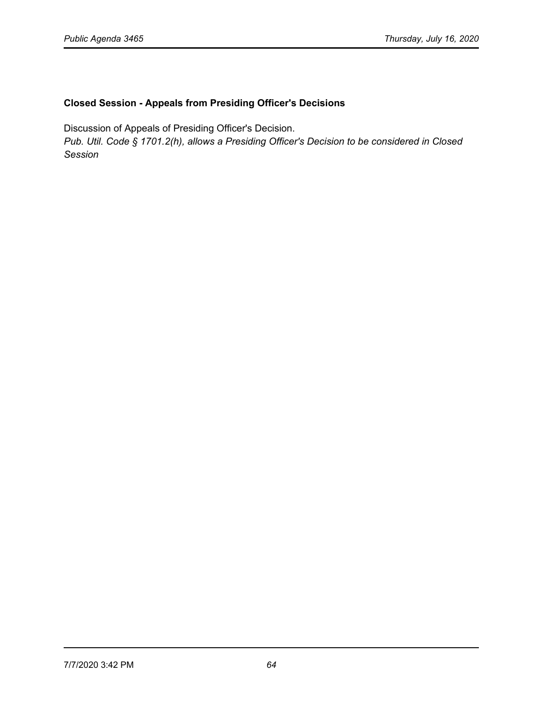## **Closed Session - Appeals from Presiding Officer's Decisions**

Discussion of Appeals of Presiding Officer's Decision.

*Pub. Util. Code § 1701.2(h), allows a Presiding Officer's Decision to be considered in Closed Session*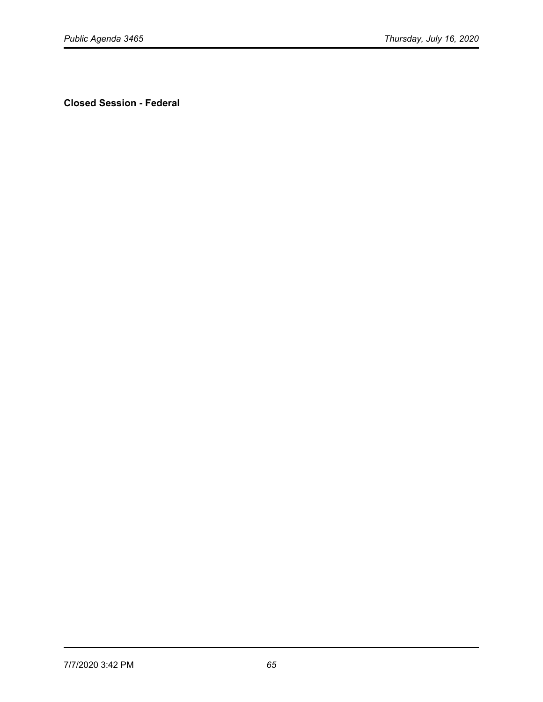**Closed Session - Federal**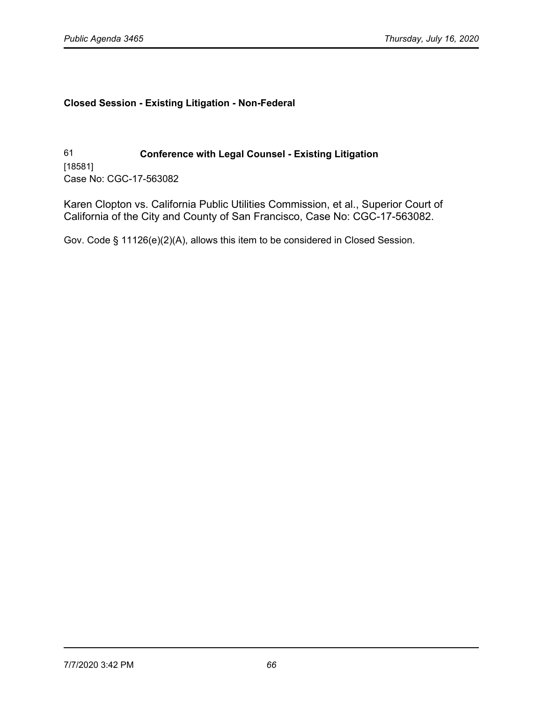# **Closed Session - Existing Litigation - Non-Federal**

61 **Conference with Legal Counsel - Existing Litigation** [18581] Case No: CGC-17-563082

Karen Clopton vs. California Public Utilities Commission, et al., Superior Court of California of the City and County of San Francisco, Case No: CGC-17-563082.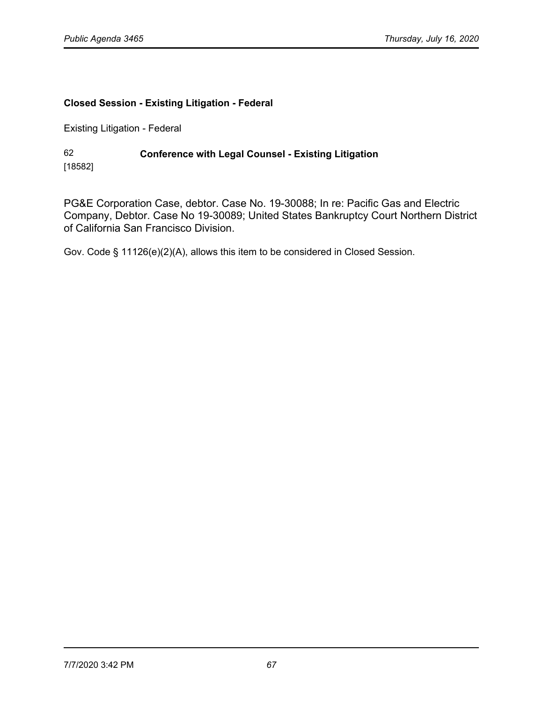# **Closed Session - Existing Litigation - Federal**

Existing Litigation - Federal

### 62 **Conference with Legal Counsel - Existing Litigation**  [18582]

PG&E Corporation Case, debtor. Case No. 19-30088; In re: Pacific Gas and Electric Company, Debtor. Case No 19-30089; United States Bankruptcy Court Northern District of California San Francisco Division.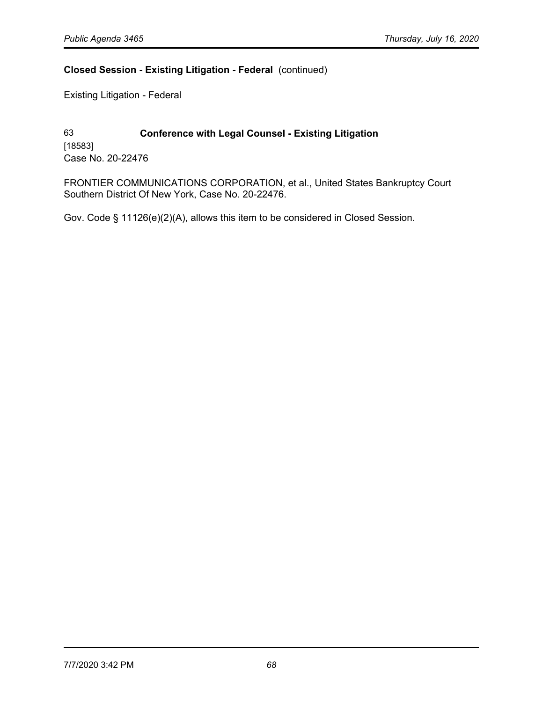## **Closed Session - Existing Litigation - Federal** (continued)

Existing Litigation - Federal

63 **Conference with Legal Counsel - Existing Litigation**  [18583] Case No. 20-22476

FRONTIER COMMUNICATIONS CORPORATION, et al., United States Bankruptcy Court Southern District Of New York, Case No. 20-22476.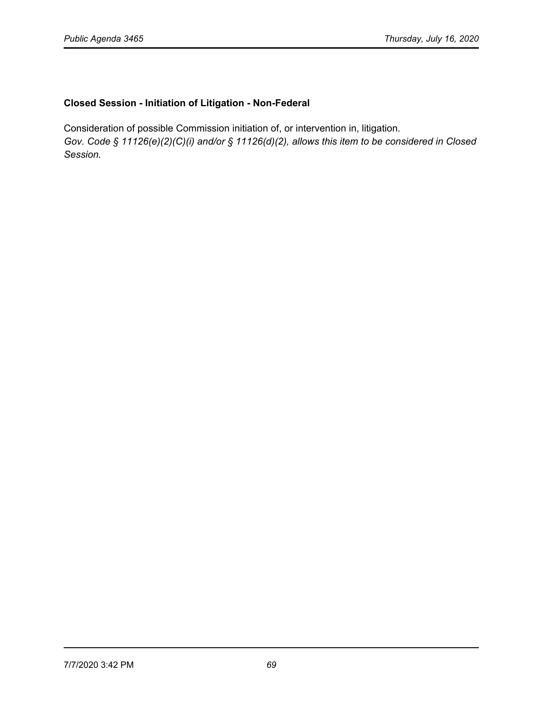## **Closed Session - Initiation of Litigation - Non-Federal**

Consideration of possible Commission initiation of, or intervention in, litigation. *Gov. Code § 11126(e)(2)(C)(i) and/or § 11126(d)(2), allows this item to be considered in Closed Session.*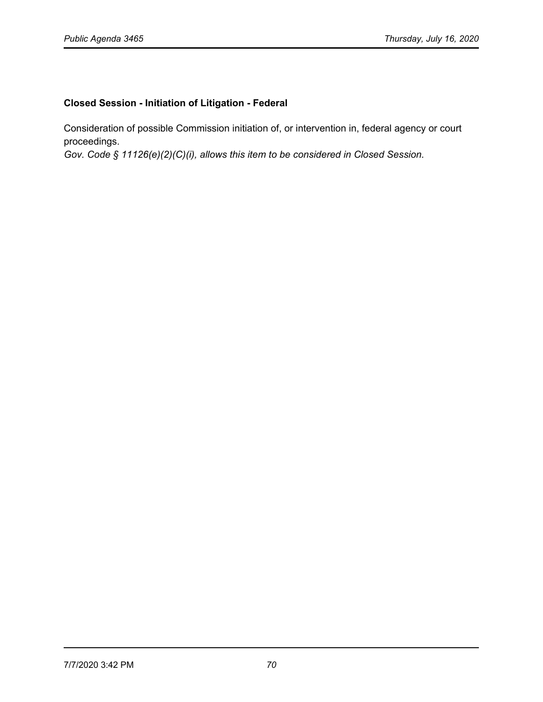# **Closed Session - Initiation of Litigation - Federal**

Consideration of possible Commission initiation of, or intervention in, federal agency or court proceedings.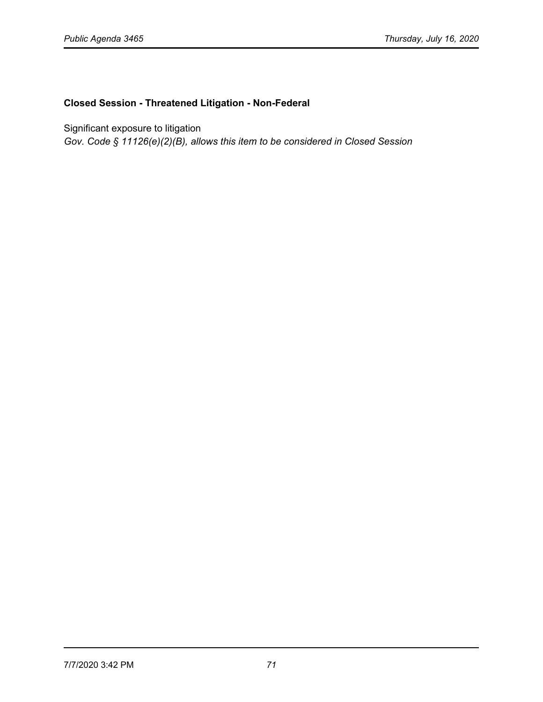## **Closed Session - Threatened Litigation - Non-Federal**

Significant exposure to litigation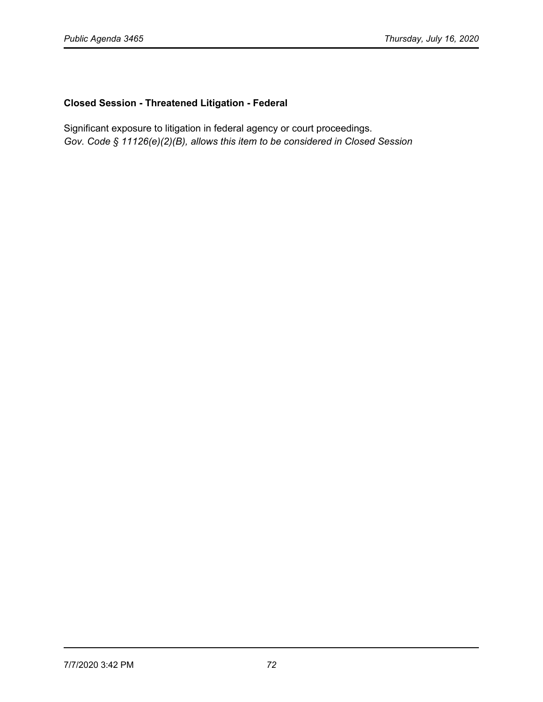# **Closed Session - Threatened Litigation - Federal**

Significant exposure to litigation in federal agency or court proceedings. *Gov. Code § 11126(e)(2)(B), allows this item to be considered in Closed Session*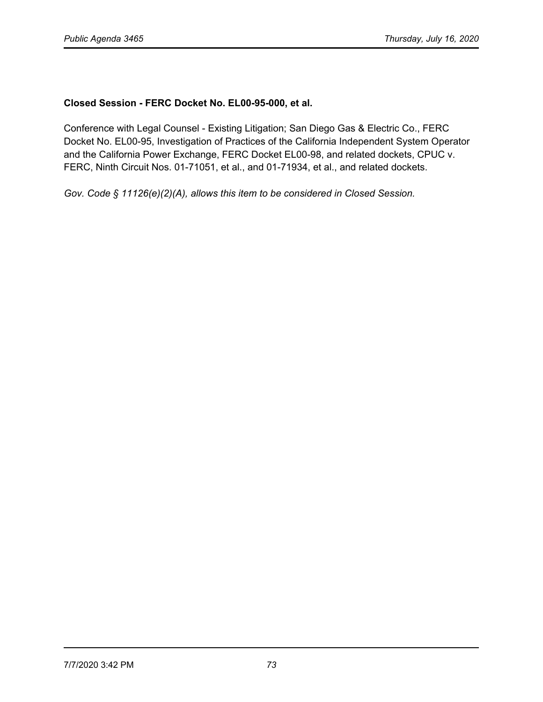## **Closed Session - FERC Docket No. EL00-95-000, et al.**

Conference with Legal Counsel - Existing Litigation; San Diego Gas & Electric Co., FERC Docket No. EL00-95, Investigation of Practices of the California Independent System Operator and the California Power Exchange, FERC Docket EL00-98, and related dockets, CPUC v. FERC, Ninth Circuit Nos. 01-71051, et al., and 01-71934, et al., and related dockets.

*Gov. Code § 11126(e)(2)(A), allows this item to be considered in Closed Session.*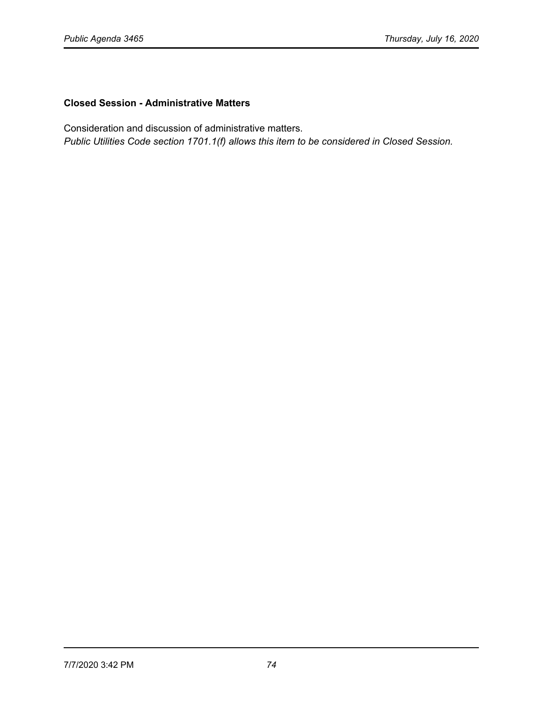## **Closed Session - Administrative Matters**

Consideration and discussion of administrative matters.

*Public Utilities Code section 1701.1(f) allows this item to be considered in Closed Session.*